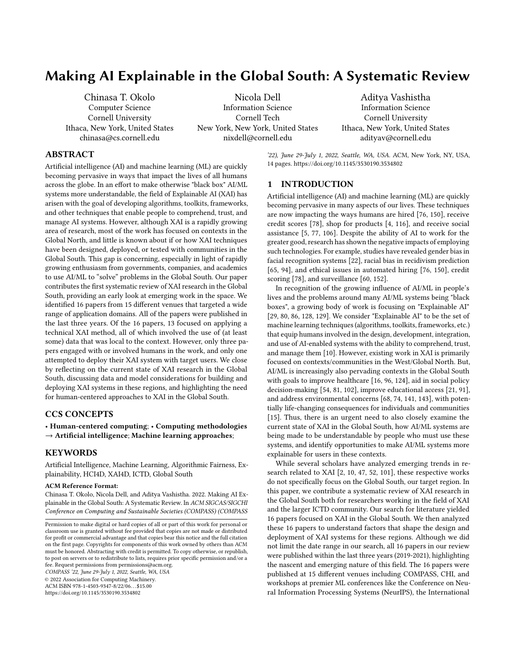# Making AI Explainable in the Global South: A Systematic Review

Chinasa T. Okolo Computer Science Cornell University Ithaca, New York, United States chinasa@cs.cornell.edu

Nicola Dell Information Science Cornell Tech New York, New York, United States nixdell@cornell.edu

Aditya Vashistha Information Science Cornell University Ithaca, New York, United States adityav@cornell.edu

# ABSTRACT

Artificial intelligence (AI) and machine learning (ML) are quickly becoming pervasive in ways that impact the lives of all humans across the globe. In an effort to make otherwise "black box" AI/ML systems more understandable, the field of Explainable AI (XAI) has arisen with the goal of developing algorithms, toolkits, frameworks, and other techniques that enable people to comprehend, trust, and manage AI systems. However, although XAI is a rapidly growing area of research, most of the work has focused on contexts in the Global North, and little is known about if or how XAI techniques have been designed, deployed, or tested with communities in the Global South. This gap is concerning, especially in light of rapidly growing enthusiasm from governments, companies, and academics to use AI/ML to "solve" problems in the Global South. Our paper contributes the first systematic review of XAI research in the Global South, providing an early look at emerging work in the space. We identified 16 papers from 15 different venues that targeted a wide range of application domains. All of the papers were published in the last three years. Of the 16 papers, 13 focused on applying a technical XAI method, all of which involved the use of (at least some) data that was local to the context. However, only three papers engaged with or involved humans in the work, and only one attempted to deploy their XAI system with target users. We close by reflecting on the current state of XAI research in the Global South, discussing data and model considerations for building and deploying XAI systems in these regions, and highlighting the need for human-centered approaches to XAI in the Global South.

#### CCS CONCEPTS

• Human-centered computing; • Computing methodologies  $\rightarrow$  Artificial intelligence; Machine learning approaches;

### **KEYWORDS**

Artificial Intelligence, Machine Learning, Algorithmic Fairness, Explainability, HCI4D, XAI4D, ICTD, Global South

#### ACM Reference Format:

Chinasa T. Okolo, Nicola Dell, and Aditya Vashistha. 2022. Making AI Explainable in the Global South: A Systematic Review. In ACM SIGCAS/SIGCHI Conference on Computing and Sustainable Societies (COMPASS) (COMPASS

COMPASS '22, June 29-July 1, 2022, Seattle, WA, USA

© 2022 Association for Computing Machinery.

ACM ISBN 978-1-4503-9347-8/22/06. . . \$15.00

<https://doi.org/10.1145/3530190.3534802>

'22), June 29-July 1, 2022, Seattle, WA, USA. ACM, New York, NY, USA, [14](#page-13-0) pages.<https://doi.org/10.1145/3530190.3534802>

# 1 INTRODUCTION

Artificial intelligence (AI) and machine learning (ML) are quickly becoming pervasive in many aspects of our lives. These techniques are now impacting the ways humans are hired [\[76,](#page-12-0) [150\]](#page-13-1), receive credit scores [\[78\]](#page-12-1), shop for products [\[4,](#page-10-0) [116\]](#page-12-2), and receive social assistance [\[5,](#page-10-1) [77,](#page-12-3) [106\]](#page-12-4). Despite the ability of AI to work for the greater good, research has shown the negative impacts of employing such technologies. For example, studies have revealed gender bias in facial recognition systems [\[22\]](#page-10-2), racial bias in recidivism prediction [\[65,](#page-11-0) [94\]](#page-12-5), and ethical issues in automated hiring [\[76,](#page-12-0) [150\]](#page-13-1), credit scoring [\[78\]](#page-12-1), and surveillance [\[60,](#page-11-1) [152\]](#page-13-2).

In recognition of the growing influence of AI/ML in people's lives and the problems around many AI/ML systems being "black boxes", a growing body of work is focusing on "Explainable AI" [\[29,](#page-11-2) [80,](#page-12-6) [86,](#page-12-7) [128,](#page-13-3) [129\]](#page-13-4). We consider "Explainable AI" to be the set of machine learning techniques (algorithms, toolkits, frameworks, etc.) that equip humans involved in the design, development, integration, and use of AI-enabled systems with the ability to comprehend, trust, and manage them [\[10\]](#page-10-3). However, existing work in XAI is primarily focused on contexts/communities in the West/Global North. But, AI/ML is increasingly also pervading contexts in the Global South with goals to improve healthcare [\[16,](#page-10-4) [96,](#page-12-8) [124\]](#page-13-5), aid in social policy decision-making [\[54,](#page-11-3) [81,](#page-12-9) [102\]](#page-12-10), improve educational access [\[21,](#page-10-5) [91\]](#page-12-11), and address environmental concerns [\[68,](#page-11-4) [74,](#page-11-5) [141,](#page-13-6) [143\]](#page-13-7), with potentially life-changing consequences for individuals and communities [\[15\]](#page-10-6). Thus, there is an urgent need to also closely examine the current state of XAI in the Global South, how AI/ML systems are being made to be understandable by people who must use these systems, and identify opportunities to make AI/ML systems more explainable for users in these contexts.

While several scholars have analyzed emerging trends in research related to XAI [\[2,](#page-10-7) [10,](#page-10-3) [47,](#page-11-6) [52,](#page-11-7) [101\]](#page-12-12), these respective works do not specifically focus on the Global South, our target region. In this paper, we contribute a systematic review of XAI research in the Global South both for researchers working in the field of XAI and the larger ICTD community. Our search for literature yielded 16 papers focused on XAI in the Global South. We then analyzed these 16 papers to understand factors that shape the design and deployment of XAI systems for these regions. Although we did not limit the date range in our search, all 16 papers in our review were published within the last three years (2019-2021), highlighting the nascent and emerging nature of this field. The 16 papers were published at 15 different venues including COMPASS, CHI, and workshops at premier ML conferences like the Conference on Neural Information Processing Systems (NeurIPS), the International

Permission to make digital or hard copies of all or part of this work for personal or classroom use is granted without fee provided that copies are not made or distributed for profit or commercial advantage and that copies bear this notice and the full citation on the first page. Copyrights for components of this work owned by others than ACM must be honored. Abstracting with credit is permitted. To copy otherwise, or republish, to post on servers or to redistribute to lists, requires prior specific permission and/or a fee. Request permissions from permissions@acm.org.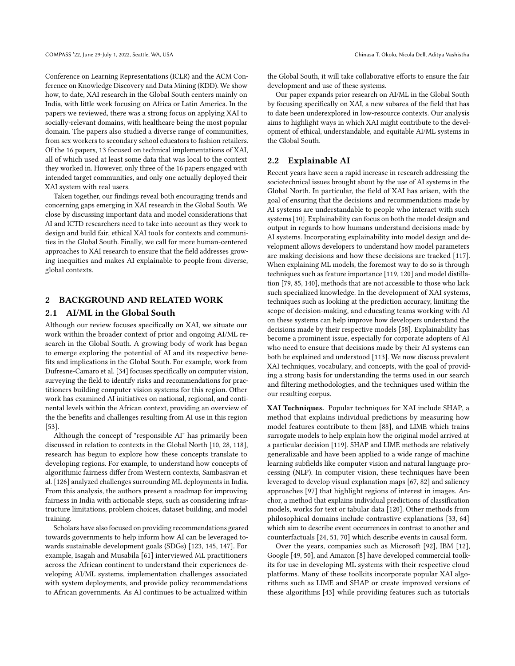Conference on Learning Representations (ICLR) and the ACM Conference on Knowledge Discovery and Data Mining (KDD). We show how, to date, XAI research in the Global South centers mainly on India, with little work focusing on Africa or Latin America. In the papers we reviewed, there was a strong focus on applying XAI to socially-relevant domains, with healthcare being the most popular domain. The papers also studied a diverse range of communities, from sex workers to secondary school educators to fashion retailers. Of the 16 papers, 13 focused on technical implementations of XAI, all of which used at least some data that was local to the context they worked in. However, only three of the 16 papers engaged with intended target communities, and only one actually deployed their XAI system with real users.

Taken together, our findings reveal both encouraging trends and concerning gaps emerging in XAI research in the Global South. We close by discussing important data and model considerations that AI and ICTD researchers need to take into account as they work to design and build fair, ethical XAI tools for contexts and communities in the Global South. Finally, we call for more human-centered approaches to XAI research to ensure that the field addresses growing inequities and makes AI explainable to people from diverse, global contexts.

## 2 BACKGROUND AND RELATED WORK

#### 2.1 AI/ML in the Global South

Although our review focuses specifically on XAI, we situate our work within the broader context of prior and ongoing AI/ML research in the Global South. A growing body of work has began to emerge exploring the potential of AI and its respective benefits and implications in the Global South. For example, work from Dufresne-Camaro et al. [\[34\]](#page-11-8) focuses specifically on computer vision, surveying the field to identify risks and recommendations for practitioners building computer vision systems for this region. Other work has examined AI initiatives on national, regional, and continental levels within the African context, providing an overview of the the benefits and challenges resulting from AI use in this region [\[53\]](#page-11-9).

Although the concept of "responsible AI" has primarily been discussed in relation to contexts in the Global North [\[10,](#page-10-3) [28,](#page-11-10) [118\]](#page-12-13), research has begun to explore how these concepts translate to developing regions. For example, to understand how concepts of algorithmic fairness differ from Western contexts, Sambasivan et al. [\[126\]](#page-13-8) analyzed challenges surrounding ML deployments in India. From this analysis, the authors present a roadmap for improving fairness in India with actionable steps, such as considering infrastructure limitations, problem choices, dataset building, and model training.

Scholars have also focused on providing recommendations geared towards governments to help inform how AI can be leveraged towards sustainable development goals (SDGs) [\[123,](#page-13-9) [145,](#page-13-10) [147\]](#page-13-11). For example, Isagah and Musabila [\[61\]](#page-11-11) interviewed ML practitioners across the African continent to understand their experiences developing AI/ML systems, implementation challenges associated with system deployments, and provide policy recommendations to African governments. As AI continues to be actualized within

the Global South, it will take collaborative efforts to ensure the fair development and use of these systems.

Our paper expands prior research on AI/ML in the Global South by focusing specifically on XAI, a new subarea of the field that has to date been underexplored in low-resource contexts. Our analysis aims to highlight ways in which XAI might contribute to the development of ethical, understandable, and equitable AI/ML systems in the Global South.

#### <span id="page-1-0"></span>2.2 Explainable AI

Recent years have seen a rapid increase in research addressing the sociotechnical issues brought about by the use of AI systems in the Global North. In particular, the field of XAI has arisen, with the goal of ensuring that the decisions and recommendations made by AI systems are understandable to people who interact with such systems [\[10\]](#page-10-3). Explainability can focus on both the model design and output in regards to how humans understand decisions made by AI systems. Incorporating explainability into model design and development allows developers to understand how model parameters are making decisions and how these decisions are tracked [\[117\]](#page-12-14). When explaining ML models, the foremost way to do so is through techniques such as feature importance [\[119,](#page-12-15) [120\]](#page-12-16) and model distillation [\[79,](#page-12-17) [85,](#page-12-18) [140\]](#page-13-12), methods that are not accessible to those who lack such specialized knowledge. In the development of XAI systems, techniques such as looking at the prediction accuracy, limiting the scope of decision-making, and educating teams working with AI on these systems can help improve how developers understand the decisions made by their respective models [\[58\]](#page-11-12). Explainability has become a prominent issue, especially for corporate adopters of AI who need to ensure that decisions made by their AI systems can both be explained and understood [\[113\]](#page-12-19). We now discuss prevalent XAI techniques, vocabulary, and concepts, with the goal of providing a strong basis for understanding the terms used in our search and filtering methodologies, and the techniques used within the our resulting corpus.

XAI Techniques. Popular techniques for XAI include SHAP, a method that explains individual predictions by measuring how model features contribute to them [\[88\]](#page-12-20), and LIME which trains surrogate models to help explain how the original model arrived at a particular decision [\[119\]](#page-12-15). SHAP and LIME methods are relatively generalizable and have been applied to a wide range of machine learning subfields like computer vision and natural language processing (NLP). In computer vision, these techniques have been leveraged to develop visual explanation maps [\[67,](#page-11-13) [82\]](#page-12-21) and saliency approaches [\[97\]](#page-12-22) that highlight regions of interest in images. Anchor, a method that explains individual predictions of classification models, works for text or tabular data [\[120\]](#page-12-16). Other methods from philosophical domains include contrastive explanations [\[33,](#page-11-14) [64\]](#page-11-15) which aim to describe event occurrences in contrast to another and counterfactuals [\[24,](#page-10-8) [51,](#page-11-16) [70\]](#page-11-17) which describe events in causal form.

Over the years, companies such as Microsoft [\[92\]](#page-12-23), IBM [\[12\]](#page-10-9), Google [\[49,](#page-11-18) [50\]](#page-11-19), and Amazon [\[8\]](#page-10-10) have developed commercial toolkits for use in developing ML systems with their respective cloud platforms. Many of these toolkits incorporate popular XAI algorithms such as LIME and SHAP or create improved versions of these algorithms [\[43\]](#page-11-20) while providing features such as tutorials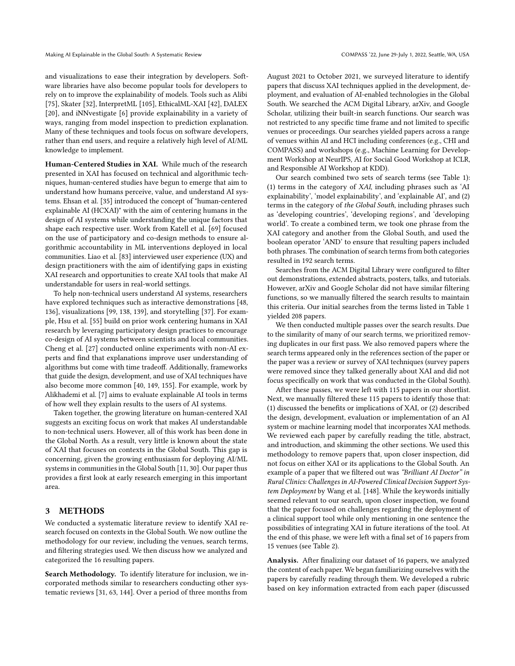and visualizations to ease their integration by developers. Software libraries have also become popular tools for developers to rely on to improve the explainability of models. Tools such as Alibi [\[75\]](#page-11-21), Skater [\[32\]](#page-11-22), InterpretML [\[105\]](#page-12-24), EthicalML-XAI [\[42\]](#page-11-23), DALEX [\[20\]](#page-10-11), and iNNvestigate [\[6\]](#page-10-12) provide explainability in a variety of ways, ranging from model inspection to prediction explanation. Many of these techniques and tools focus on software developers, rather than end users, and require a relatively high level of AI/ML knowledge to implement.

Human-Centered Studies in XAI. While much of the research presented in XAI has focused on technical and algorithmic techniques, human-centered studies have begun to emerge that aim to understand how humans perceive, value, and understand AI systems. Ehsan et al. [\[35\]](#page-11-24) introduced the concept of "human-centered explainable AI (HCXAI)" with the aim of centering humans in the design of AI systems while understanding the unique factors that shape each respective user. Work from Katell et al. [\[69\]](#page-11-25) focused on the use of participatory and co-design methods to ensure algorithmic accountability in ML interventions deployed in local communities. Liao et al. [\[83\]](#page-12-25) interviewed user experience (UX) and design practitioners with the aim of identifying gaps in existing XAI research and opportunities to create XAI tools that make AI understandable for users in real-world settings.

To help non-technical users understand AI systems, researchers have explored techniques such as interactive demonstrations [\[48,](#page-11-26) [136\]](#page-13-13), visualizations [\[99,](#page-12-26) [138,](#page-13-14) [139\]](#page-13-15), and storytelling [\[37\]](#page-11-27). For example, Hsu et al. [\[55\]](#page-11-28) build on prior work centering humans in XAI research by leveraging participatory design practices to encourage co-design of AI systems between scientists and local communities. Cheng et al. [\[27\]](#page-10-13) conducted online experiments with non-AI experts and find that explanations improve user understanding of algorithms but come with time tradeoff. Additionally, frameworks that guide the design, development, and use of XAI techniques have also become more common [\[40,](#page-11-29) [149,](#page-13-16) [155\]](#page-13-17). For example, work by Alikhademi et al. [\[7\]](#page-10-14) aims to evaluate explainable AI tools in terms of how well they explain results to the users of AI systems.

Taken together, the growing literature on human-centered XAI suggests an exciting focus on work that makes AI understandable to non-technical users. However, all of this work has been done in the Global North. As a result, very little is known about the state of XAI that focuses on contexts in the Global South. This gap is concerning, given the growing enthusiasm for deploying AI/ML systems in communities in the Global South [\[11,](#page-10-15) [30\]](#page-11-30). Our paper thus provides a first look at early research emerging in this important area.

#### 3 METHODS

We conducted a systematic literature review to identify XAI research focused on contexts in the Global South. We now outline the methodology for our review, including the venues, search terms, and filtering strategies used. We then discuss how we analyzed and categorized the 16 resulting papers.

Search Methodology. To identify literature for inclusion, we incorporated methods similar to researchers conducting other systematic reviews [\[31,](#page-11-31) [63,](#page-11-32) [144\]](#page-13-18). Over a period of three months from

August 2021 to October 2021, we surveyed literature to identify papers that discuss XAI techniques applied in the development, deployment, and evaluation of AI-enabled technologies in the Global South. We searched the ACM Digital Library, arXiv, and Google Scholar, utilizing their built-in search functions. Our search was not restricted to any specific time frame and not limited to specific venues or proceedings. Our searches yielded papers across a range of venues within AI and HCI including conferences (e.g., CHI and COMPASS) and workshops (e.g., Machine Learning for Development Workshop at NeurIPS, AI for Social Good Workshop at ICLR, and Responsible AI Workshop at KDD).

Our search combined two sets of search terms (see Table [1\)](#page-3-0): (1) terms in the category of XAI, including phrases such as 'AI explainability', 'model explainability', and 'explainable AI', and (2) terms in the category of the Global South, including phrases such as 'developing countries', 'developing regions', and 'developing world'. To create a combined term, we took one phrase from the XAI category and another from the Global South, and used the boolean operator 'AND' to ensure that resulting papers included both phrases. The combination of search terms from both categories resulted in 192 search terms.

Searches from the ACM Digital Library were configured to filter out demonstrations, extended abstracts, posters, talks, and tutorials. However, arXiv and Google Scholar did not have similar filtering functions, so we manually filtered the search results to maintain this criteria. Our initial searches from the terms listed in Table [1](#page-3-0) yielded 208 papers.

We then conducted multiple passes over the search results. Due to the similarity of many of our search terms, we prioritized removing duplicates in our first pass. We also removed papers where the search terms appeared only in the references section of the paper or the paper was a review or survey of XAI techniques (survey papers were removed since they talked generally about XAI and did not focus specifically on work that was conducted in the Global South).

After these passes, we were left with 115 papers in our shortlist. Next, we manually filtered these 115 papers to identify those that: (1) discussed the benefits or implications of XAI, or (2) described the design, development, evaluation or implementation of an AI system or machine learning model that incorporates XAI methods. We reviewed each paper by carefully reading the title, abstract, and introduction, and skimming the other sections. We used this methodology to remove papers that, upon closer inspection, did not focus on either XAI or its applications to the Global South. An example of a paper that we filtered out was "Brilliant AI Doctor" in Rural Clinics: Challenges in AI-Powered Clinical Decision Support System Deployment by Wang et al. [\[148\]](#page-13-19). While the keywords initially seemed relevant to our search, upon closer inspection, we found that the paper focused on challenges regarding the deployment of a clinical support tool while only mentioning in one sentence the possibilities of integrating XAI in future iterations of the tool. At the end of this phase, we were left with a final set of 16 papers from 15 venues (see Table [2\)](#page-4-0).

Analysis. After finalizing our dataset of 16 papers, we analyzed the content of each paper. We began familiarizing ourselves with the papers by carefully reading through them. We developed a rubric based on key information extracted from each paper (discussed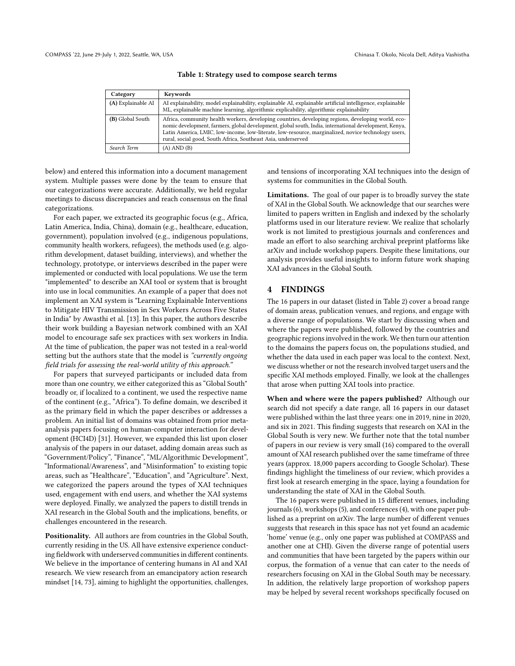<span id="page-3-0"></span>

| Category           | Keywords                                                                                                                                                                                                                                                                                                                                                                             |
|--------------------|--------------------------------------------------------------------------------------------------------------------------------------------------------------------------------------------------------------------------------------------------------------------------------------------------------------------------------------------------------------------------------------|
| (A) Explainable AI | AI explainability, model explainability, explainable AI, explainable artificial intelligence, explainable<br>ML, explainable machine learning, algorithmic explicability, algorithmic explainability                                                                                                                                                                                 |
| (B) Global South   | Africa, community health workers, developing countries, developing regions, developing world, eco-<br>nomic development, farmers, global development, global south, India, international development, Kenya,<br>Latin America, LMIC, low-income, low-literate, low-resource, marginalized, novice technology users,<br>rural, social good, South Africa, Southeast Asia, underserved |
| Search Term        | $(A)$ AND $(B)$                                                                                                                                                                                                                                                                                                                                                                      |

Table 1: Strategy used to compose search terms

below) and entered this information into a document management system. Multiple passes were done by the team to ensure that our categorizations were accurate. Additionally, we held regular meetings to discuss discrepancies and reach consensus on the final categorizations.

For each paper, we extracted its geographic focus (e.g., Africa, Latin America, India, China), domain (e.g., healthcare, education, government), population involved (e.g., indigenous populations, community health workers, refugees), the methods used (e.g. algorithm development, dataset building, interviews), and whether the technology, prototype, or interviews described in the paper were implemented or conducted with local populations. We use the term "implemented" to describe an XAI tool or system that is brought into use in local communities. An example of a paper that does not implement an XAI system is "Learning Explainable Interventions to Mitigate HIV Transmission in Sex Workers Across Five States in India" by Awasthi et al. [\[13\]](#page-10-16). In this paper, the authors describe their work building a Bayesian network combined with an XAI model to encourage safe sex practices with sex workers in India. At the time of publication, the paper was not tested in a real-world setting but the authors state that the model is "currently ongoing field trials for assessing the real-world utility of this approach."

For papers that surveyed participants or included data from more than one country, we either categorized this as "Global South" broadly or, if localized to a continent, we used the respective name of the continent (e.g., "Africa"). To define domain, we described it as the primary field in which the paper describes or addresses a problem. An initial list of domains was obtained from prior metaanalysis papers focusing on human-computer interaction for development (HCI4D) [\[31\]](#page-11-31). However, we expanded this list upon closer analysis of the papers in our dataset, adding domain areas such as "Government/Policy", "Finance", "ML/Algorithmic Development", "Informational/Awareness", and "Misinformation" to existing topic areas, such as "Healthcare", "Education", and "Agriculture". Next, we categorized the papers around the types of XAI techniques used, engagement with end users, and whether the XAI systems were deployed. Finally, we analyzed the papers to distill trends in XAI research in the Global South and the implications, benefits, or challenges encountered in the research.

Positionality. All authors are from countries in the Global South, currently residing in the US. All have extensive experience conducting fieldwork with underserved communities in different continents. We believe in the importance of centering humans in AI and XAI research. We view research from an emancipatory action research mindset [\[14,](#page-10-17) [73\]](#page-11-33), aiming to highlight the opportunities, challenges,

and tensions of incorporating XAI techniques into the design of systems for communities in the Global South.

Limitations. The goal of our paper is to broadly survey the state of XAI in the Global South. We acknowledge that our searches were limited to papers written in English and indexed by the scholarly platforms used in our literature review. We realize that scholarly work is not limited to prestigious journals and conferences and made an effort to also searching archival preprint platforms like arXiv and include workshop papers. Despite these limitations, our analysis provides useful insights to inform future work shaping XAI advances in the Global South.

#### 4 FINDINGS

The 16 papers in our dataset (listed in Table [2\)](#page-4-0) cover a broad range of domain areas, publication venues, and regions, and engage with a diverse range of populations. We start by discussing when and where the papers were published, followed by the countries and geographic regions involved in the work. We then turn our attention to the domains the papers focus on, the populations studied, and whether the data used in each paper was local to the context. Next, we discuss whether or not the research involved target users and the specific XAI methods employed. Finally, we look at the challenges that arose when putting XAI tools into practice.

When and where were the papers published? Although our search did not specify a date range, all 16 papers in our dataset were published within the last three years: one in 2019, nine in 2020, and six in 2021. This finding suggests that research on XAI in the Global South is very new. We further note that the total number of papers in our review is very small (16) compared to the overall amount of XAI research published over the same timeframe of three years (approx. 18,000 papers according to Google Scholar). These findings highlight the timeliness of our review, which provides a first look at research emerging in the space, laying a foundation for understanding the state of XAI in the Global South.

The 16 papers were published in 15 different venues, including journals (6), workshops (5), and conferences (4), with one paper published as a preprint on arXiv. The large number of different venues suggests that research in this space has not yet found an academic 'home' venue (e.g., only one paper was published at COMPASS and another one at CHI). Given the diverse range of potential users and communities that have been targeted by the papers within our corpus, the formation of a venue that can cater to the needs of researchers focusing on XAI in the Global South may be necessary. In addition, the relatively large proportion of workshop papers may be helped by several recent workshops specifically focused on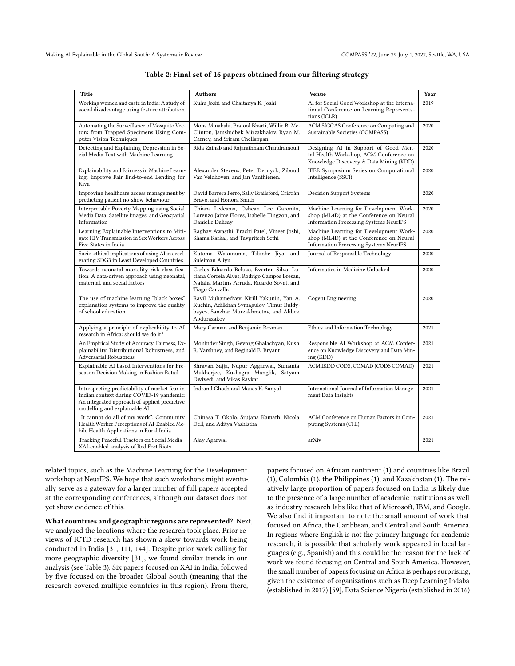<span id="page-4-0"></span>

| Title                                                                                                                                                                                                   | <b>Authors</b>                                                                                                                                           | Venue                                                                                                                              | Year |
|---------------------------------------------------------------------------------------------------------------------------------------------------------------------------------------------------------|----------------------------------------------------------------------------------------------------------------------------------------------------------|------------------------------------------------------------------------------------------------------------------------------------|------|
|                                                                                                                                                                                                         |                                                                                                                                                          |                                                                                                                                    |      |
| Working women and caste in India: A study of<br>social disadvantage using feature attribution                                                                                                           | Kuhu Joshi and Chaitanya K. Joshi                                                                                                                        | AI for Social Good Workshop at the Interna-<br>tional Conference on Learning Representa-<br>tions (ICLR)                           | 2019 |
| Automating the Surveillance of Mosquito Vec-<br>tors from Trapped Specimens Using Com-<br>puter Vision Techniques                                                                                       | Mona Minakshi, Pratool Bharti, Willie B. Mc-<br>Clinton, Jamshidbek Mirzakhalov, Ryan M.<br>Carney, and Sriram Chellappan.                               | ACM SIGCAS Conference on Computing and<br>Sustainable Societies (COMPASS)                                                          | 2020 |
| Detecting and Explaining Depression in So-<br>cial Media Text with Machine Learning                                                                                                                     | Rida Zainab and Rajarathnam Chandramouli                                                                                                                 | Designing AI in Support of Good Men-<br>tal Health Workshop, ACM Conference on<br>Knowledge Discovery & Data Mining (KDD)          | 2020 |
| Explainability and Fairness in Machine Learn-<br>ing: Improve Fair End-to-end Lending for<br>Kiva                                                                                                       | Alexander Stevens, Peter Deruyck, Ziboud<br>Van Veldhoven, and Jan Vanthienen.                                                                           | IEEE Symposium Series on Computational<br>Intelligence (SSCI)                                                                      | 2020 |
| Improving healthcare access management by<br>predicting patient no-show behaviour                                                                                                                       | David Barrera Ferro, Sally Brailsford, Cristián<br>Bravo, and Honora Smith                                                                               | Decision Support Systems                                                                                                           | 2020 |
| Interpretable Poverty Mapping using Social<br>Media Data, Satellite Images, and Geospatial<br>Information                                                                                               | Chiara Ledesma, Oshean Lee Garonita,<br>Lorenzo Jaime Flores, Isabelle Tingzon, and<br>Danielle Dalisay                                                  | Machine Learning for Development Work-<br>shop (ML4D) at the Conference on Neural<br><b>Information Processing Systems NeurIPS</b> | 2020 |
| Raghav Awasthi, Prachi Patel, Vineet Joshi,<br>Learning Explainable Interventions to Miti-<br>gate HIV Transmission in Sex Workers Across<br>Shama Karkal, and Tavpritesh Sethi<br>Five States in India |                                                                                                                                                          | Machine Learning for Development Work-<br>shop (ML4D) at the Conference on Neural<br><b>Information Processing Systems NeurIPS</b> | 2020 |
| Socio-ethical implications of using AI in accel-<br>erating SDG3 in Least Developed Countries                                                                                                           | Kutoma Wakunuma, Tilimbe Jiya, and<br>Suleiman Aliyu                                                                                                     | Journal of Responsible Technology                                                                                                  | 2020 |
| Towards neonatal mortality risk classifica-<br>tion: A data-driven approach using neonatal,<br>maternal, and social factors                                                                             | Carlos Eduardo Beluzo, Everton Silva, Lu-<br>ciana Correia Alves, Rodrigo Campos Bresan,<br>Natália Martins Arruda, Ricardo Sovat, and<br>Tiago Carvalho | Informatics in Medicine Unlocked                                                                                                   | 2020 |
| The use of machine learning "black boxes"<br>explanation systems to improve the quality<br>of school education                                                                                          | Ravil Muhamedyev, Kirill Yakunin, Yan A.<br>Kuchin, Adilkhan Symagulov, Timur Buldy-<br>bayev, Sanzhar Murzakhmetov, and Alibek<br>Abdurazakov           | <b>Cogent Engineering</b>                                                                                                          | 2020 |
| Applying a principle of explicability to AI<br>research in Africa: should we do it?                                                                                                                     | Mary Carman and Benjamin Rosman                                                                                                                          | Ethics and Information Technology                                                                                                  | 2021 |
| An Empirical Study of Accuracy, Fairness, Ex-<br>plainability, Distributional Robustness, and<br>Adversarial Robustness                                                                                 | Moninder Singh, Gevorg Ghalachyan, Kush<br>R. Varshney, and Reginald E. Bryant                                                                           | Responsible AI Workshop at ACM Confer-<br>ence on Knowledge Discovery and Data Min-<br>ing (KDD)                                   | 2021 |
| Explainable AI based Interventions for Pre-<br>season Decision Making in Fashion Retail                                                                                                                 | Shravan Sajja, Nupur Aggarwal, Sumanta<br>Mukherjee, Kushagra Manglik, Satyam<br>Dwivedi, and Vikas Raykar                                               | ACM IKDD CODS, COMAD (CODS COMAD)                                                                                                  | 2021 |
| Introspecting predictability of market fear in<br>Indian context during COVID-19 pandemic:<br>An integrated approach of applied predictive<br>modelling and explainable AI                              | Indranil Ghosh and Manas K. Sanyal                                                                                                                       | International Journal of Information Manage-<br>ment Data Insights                                                                 | 2021 |
| "It cannot do all of my work": Community<br>Health Worker Perceptions of AI-Enabled Mo-<br>bile Health Applications in Rural India                                                                      | Chinasa T. Okolo, Srujana Kamath, Nicola<br>Dell, and Aditya Vashistha                                                                                   | ACM Conference on Human Factors in Com-<br>puting Systems (CHI)                                                                    | 2021 |
| Tracking Peaceful Tractors on Social Media-<br>XAI-enabled analysis of Red Fort Riots                                                                                                                   | Ajay Agarwal                                                                                                                                             | arXiv                                                                                                                              | 2021 |

#### Table 2: Final set of 16 papers obtained from our filtering strategy

related topics, such as the Machine Learning for the Development workshop at NeurIPS. We hope that such workshops might eventually serve as a gateway for a larger number of full papers accepted at the corresponding conferences, although our dataset does not yet show evidence of this.

What countries and geographic regions are represented? Next, we analyzed the locations where the research took place. Prior reviews of ICTD research has shown a skew towards work being conducted in India [\[31,](#page-11-31) [111,](#page-12-27) [144\]](#page-13-18). Despite prior work calling for more geographic diversity [\[31\]](#page-11-31), we found similar trends in our analysis (see Table [3\)](#page-5-0). Six papers focused on XAI in India, followed by five focused on the broader Global South (meaning that the research covered multiple countries in this region). From there,

papers focused on African continent (1) and countries like Brazil (1), Colombia (1), the Philippines (1), and Kazakhstan (1). The relatively large proportion of papers focused on India is likely due to the presence of a large number of academic institutions as well as industry research labs like that of Microsoft, IBM, and Google. We also find it important to note the small amount of work that focused on Africa, the Caribbean, and Central and South America. In regions where English is not the primary language for academic research, it is possible that scholarly work appeared in local languages (e.g., Spanish) and this could be the reason for the lack of work we found focusing on Central and South America. However, the small number of papers focusing on Africa is perhaps surprising, given the existence of organizations such as Deep Learning Indaba (established in 2017) [\[59\]](#page-11-34), Data Science Nigeria (established in 2016)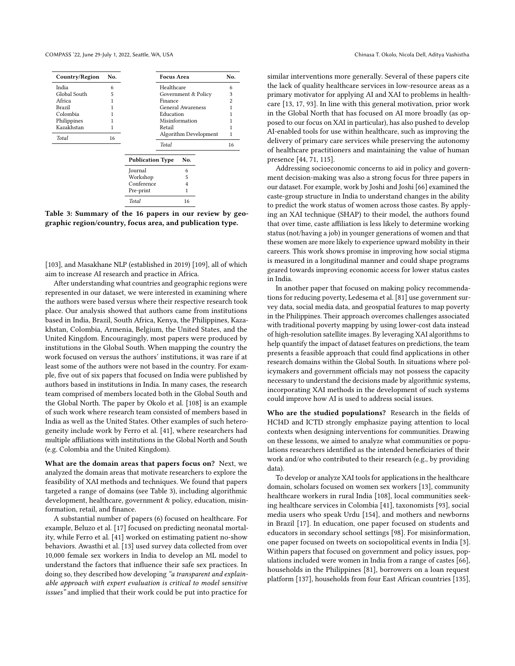<span id="page-5-0"></span>

| No.<br>Country/Region |    |                         | <b>Focus Area</b>     |     |   | No. |
|-----------------------|----|-------------------------|-----------------------|-----|---|-----|
| India                 | 6  |                         | Healthcare            |     | 6 |     |
| Global South          | 5  |                         | Government & Policy   |     | 3 |     |
| Africa                |    | Finance                 |                       |     | 2 |     |
| Brazil                |    |                         | General Awareness     |     |   |     |
| Colombia              |    |                         | Education             |     |   |     |
| Philippines           |    |                         | Misinformation        |     |   |     |
| Kazakhstan            | 1  |                         | Retail                |     |   |     |
| Total                 | 16 |                         | Algorithm Development |     |   | 1   |
|                       |    |                         | Total                 |     |   | 16  |
|                       |    | <b>Publication Type</b> |                       | No. |   |     |
|                       |    | Journal                 |                       | 6   |   |     |
|                       |    | Workshop                |                       | 5   |   |     |
|                       |    | Conference              |                       | 4   |   |     |
|                       |    | Pre-print               |                       |     |   |     |
|                       |    | <b>Total</b>            |                       | 16  |   |     |

Table 3: Summary of the 16 papers in our review by geographic region/country, focus area, and publication type.

[\[103\]](#page-12-28), and Masakhane NLP (established in 2019) [\[109\]](#page-12-29), all of which aim to increase AI research and practice in Africa.

After understanding what countries and geographic regions were represented in our dataset, we were interested in examining where the authors were based versus where their respective research took place. Our analysis showed that authors came from institutions based in India, Brazil, South Africa, Kenya, the Philippines, Kazakhstan, Colombia, Armenia, Belgium, the United States, and the United Kingdom. Encouragingly, most papers were produced by institutions in the Global South. When mapping the country the work focused on versus the authors' institutions, it was rare if at least some of the authors were not based in the country. For example, five out of six papers that focused on India were published by authors based in institutions in India. In many cases, the research team comprised of members located both in the Global South and the Global North. The paper by Okolo et al. [\[108\]](#page-12-30) is an example of such work where research team consisted of members based in India as well as the United States. Other examples of such heterogeneity include work by Ferro et al. [\[41\]](#page-11-35), where researchers had multiple affiliations with institutions in the Global North and South (e.g. Colombia and the United Kingdom).

What are the domain areas that papers focus on? Next, we analyzed the domain areas that motivate researchers to explore the feasibility of XAI methods and techniques. We found that papers targeted a range of domains (see Table [3\)](#page-5-0), including algorithmic development, healthcare, government & policy, education, misinformation, retail, and finance.

A substantial number of papers (6) focused on healthcare. For example, Beluzo et al. [\[17\]](#page-10-18) focused on predicting neonatal mortality, while Ferro et al. [\[41\]](#page-11-35) worked on estimating patient no-show behaviors. Awasthi et al. [\[13\]](#page-10-16) used survey data collected from over 10,000 female sex workers in India to develop an ML model to understand the factors that influence their safe sex practices. In doing so, they described how developing "a transparent and explainable approach with expert evaluation is critical to model sensitive issues" and implied that their work could be put into practice for

similar interventions more generally. Several of these papers cite the lack of quality healthcare services in low-resource areas as a primary motivator for applying AI and XAI to problems in healthcare [\[13,](#page-10-16) [17,](#page-10-18) [93\]](#page-12-31). In line with this general motivation, prior work in the Global North that has focused on AI more broadly (as opposed to our focus on XAI in particular), has also pushed to develop AI-enabled tools for use within healthcare, such as improving the delivery of primary care services while preserving the autonomy of healthcare practitioners and maintaining the value of human presence [\[44,](#page-11-36) [71,](#page-11-37) [115\]](#page-12-32).

Addressing socioeconomic concerns to aid in policy and government decision-making was also a strong focus for three papers in our dataset. For example, work by Joshi and Joshi [\[66\]](#page-11-38) examined the caste-group structure in India to understand changes in the ability to predict the work status of women across those castes. By applying an XAI technique (SHAP) to their model, the authors found that over time, caste affiliation is less likely to determine working status (not/having a job) in younger generations of women and that these women are more likely to experience upward mobility in their careers. This work shows promise in improving how social stigma is measured in a longitudinal manner and could shape programs geared towards improving economic access for lower status castes in India.

In another paper that focused on making policy recommendations for reducing poverty, Ledesema et al. [\[81\]](#page-12-9) use government survey data, social media data, and geospatial features to map poverty in the Philippines. Their approach overcomes challenges associated with traditional poverty mapping by using lower-cost data instead of high-resolution satellite images. By leveraging XAI algorithms to help quantify the impact of dataset features on predictions, the team presents a feasible approach that could find applications in other research domains within the Global South. In situations where policymakers and government officials may not possess the capacity necessary to understand the decisions made by algorithmic systems, incorporating XAI methods in the development of such systems could improve how AI is used to address social issues.

Who are the studied populations? Research in the fields of HCI4D and ICTD strongly emphasize paying attention to local contexts when designing interventions for communities. Drawing on these lessons, we aimed to analyze what communities or populations researchers identified as the intended beneficiaries of their work and/or who contributed to their research (e.g., by providing data).

To develop or analyze XAI tools for applications in the healthcare domain, scholars focused on women sex workers [\[13\]](#page-10-16), community healthcare workers in rural India [\[108\]](#page-12-30), local communities seeking healthcare services in Colombia [\[41\]](#page-11-35), taxonomists [\[93\]](#page-12-31), social media users who speak Urdu [\[154\]](#page-13-20), and mothers and newborns in Brazil [\[17\]](#page-10-18). In education, one paper focused on students and educators in secondary school settings [\[98\]](#page-12-33). For misinformation, one paper focused on tweets on sociopolitical events in India [\[3\]](#page-10-19). Within papers that focused on government and policy issues, populations included were women in India from a range of castes [\[66\]](#page-11-38), households in the Philippines [\[81\]](#page-12-9), borrowers on a loan request platform [\[137\]](#page-13-21), households from four East African countries [\[135\]](#page-13-22),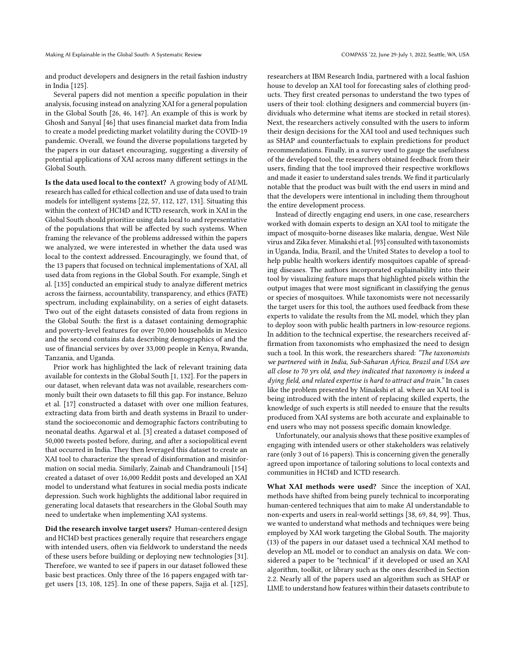and product developers and designers in the retail fashion industry in India [\[125\]](#page-13-23).

Several papers did not mention a specific population in their analysis, focusing instead on analyzing XAI for a general population in the Global South [\[26,](#page-10-20) [46,](#page-11-39) [147\]](#page-13-11). An example of this is work by Ghosh and Sanyal [\[46\]](#page-11-39) that uses financial market data from India to create a model predicting market volatility during the COVID-19 pandemic. Overall, we found the diverse populations targeted by the papers in our dataset encouraging, suggesting a diversity of potential applications of XAI across many different settings in the Global South.

Is the data used local to the context? A growing body of AI/ML research has called for ethical collection and use of data used to train models for intelligent systems [\[22,](#page-10-2) [57,](#page-11-40) [112,](#page-12-34) [127,](#page-13-24) [131\]](#page-13-25). Situating this within the context of HCI4D and ICTD research, work in XAI in the Global South should prioritize using data local to and representative of the populations that will be affected by such systems. When framing the relevance of the problems addressed within the papers we analyzed, we were interested in whether the data used was local to the context addressed. Encouragingly, we found that, of the 13 papers that focused on technical implementations of XAI, all used data from regions in the Global South. For example, Singh et al. [\[135\]](#page-13-22) conducted an empirical study to analyze different metrics across the fairness, accountability, transparency, and ethics (FATE) spectrum, including explainability, on a series of eight datasets. Two out of the eight datasets consisted of data from regions in the Global South: the first is a dataset containing demographic and poverty-level features for over 70,000 households in Mexico and the second contains data describing demographics of and the use of financial services by over 33,000 people in Kenya, Rwanda, Tanzania, and Uganda.

Prior work has highlighted the lack of relevant training data available for contexts in the Global South [\[1,](#page-10-21) [132\]](#page-13-26). For the papers in our dataset, when relevant data was not available, researchers commonly built their own datasets to fill this gap. For instance, Beluzo et al. [\[17\]](#page-10-18) constructed a dataset with over one million features, extracting data from birth and death systems in Brazil to understand the socioeconomic and demographic factors contributing to neonatal deaths. Agarwal et al. [\[3\]](#page-10-19) created a dataset composed of 50,000 tweets posted before, during, and after a sociopolitical event that occurred in India. They then leveraged this dataset to create an XAI tool to characterize the spread of disinformation and misinformation on social media. Similarly, Zainab and Chandramouli [\[154\]](#page-13-20) created a dataset of over 16,000 Reddit posts and developed an XAI model to understand what features in social media posts indicate depression. Such work highlights the additional labor required in generating local datasets that researchers in the Global South may need to undertake when implementing XAI systems.

Did the research involve target users? Human-centered design and HCI4D best practices generally require that researchers engage with intended users, often via fieldwork to understand the needs of these users before building or deploying new technologies [\[31\]](#page-11-31). Therefore, we wanted to see if papers in our dataset followed these basic best practices. Only three of the 16 papers engaged with target users [\[13,](#page-10-16) [108,](#page-12-30) [125\]](#page-13-23). In one of these papers, Sajja et al. [\[125\]](#page-13-23), researchers at IBM Research India, partnered with a local fashion house to develop an XAI tool for forecasting sales of clothing products. They first created personas to understand the two types of users of their tool: clothing designers and commercial buyers (individuals who determine what items are stocked in retail stores). Next, the researchers actively consulted with the users to inform their design decisions for the XAI tool and used techniques such as SHAP and counterfactuals to explain predictions for product recommendations. Finally, in a survey used to gauge the usefulness of the developed tool, the researchers obtained feedback from their users, finding that the tool improved their respective workflows and made it easier to understand sales trends. We find it particularly notable that the product was built with the end users in mind and that the developers were intentional in including them throughout the entire development process.

Instead of directly engaging end users, in one case, researchers worked with domain experts to design an XAI tool to mitigate the impact of mosquito-borne diseases like malaria, dengue, West Nile virus and Zika fever. Minakshi et al. [\[93\]](#page-12-31) consulted with taxonomists in Uganda, India, Brazil, and the United States to develop a tool to help public health workers identify mosquitoes capable of spreading diseases. The authors incorporated explainability into their tool by visualizing feature maps that highlighted pixels within the output images that were most significant in classifying the genus or species of mosquitoes. While taxonomists were not necessarily the target users for this tool, the authors used feedback from these experts to validate the results from the ML model, which they plan to deploy soon with public health partners in low-resource regions. In addition to the technical expertise, the researchers received affirmation from taxonomists who emphasized the need to design such a tool. In this work, the researchers shared: "The taxonomists we partnered with in India, Sub-Saharan Africa, Brazil and USA are all close to 70 yrs old, and they indicated that taxonomy is indeed a dying field, and related expertise is hard to attract and train." In cases like the problem presented by Minakshi et al. where an XAI tool is being introduced with the intent of replacing skilled experts, the knowledge of such experts is still needed to ensure that the results produced from XAI systems are both accurate and explainable to end users who may not possess specific domain knowledge.

Unfortunately, our analysis shows that these positive examples of engaging with intended users or other stakeholders was relatively rare (only 3 out of 16 papers). This is concerning given the generally agreed upon importance of tailoring solutions to local contexts and communities in HCI4D and ICTD research.

What XAI methods were used? Since the inception of XAI, methods have shifted from being purely technical to incorporating human-centered techniques that aim to make AI understandable to non-experts and users in real-world settings [\[38,](#page-11-41) [69,](#page-11-25) [84,](#page-12-35) [99\]](#page-12-26). Thus, we wanted to understand what methods and techniques were being employed by XAI work targeting the Global South. The majority (13) of the papers in our dataset used a technical XAI method to develop an ML model or to conduct an analysis on data. We considered a paper to be "technical" if it developed or used an XAI algorithm, toolkit, or library such as the ones described in Section [2.2.](#page-1-0) Nearly all of the papers used an algorithm such as SHAP or LIME to understand how features within their datasets contribute to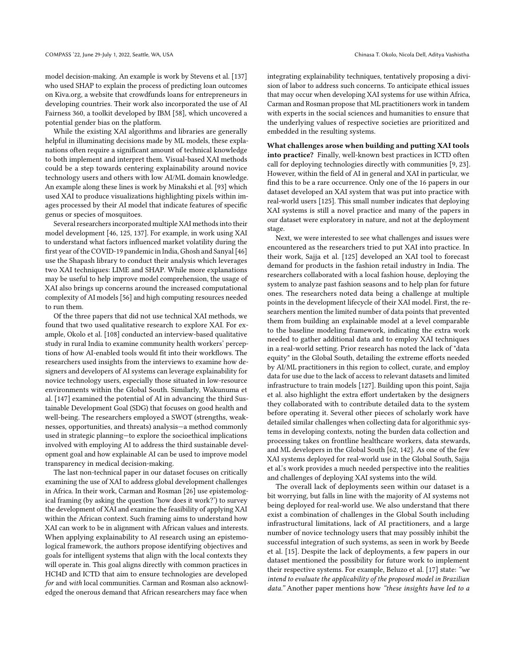model decision-making. An example is work by Stevens et al. [\[137\]](#page-13-21) who used SHAP to explain the process of predicting loan outcomes on Kiva.org, a website that crowdfunds loans for entrepreneurs in developing countries. Their work also incorporated the use of AI Fairness 360, a toolkit developed by IBM [\[58\]](#page-11-12), which uncovered a potential gender bias on the platform.

While the existing XAI algorithms and libraries are generally helpful in illuminating decisions made by ML models, these explanations often require a significant amount of technical knowledge to both implement and interpret them. Visual-based XAI methods could be a step towards centering explainability around novice technology users and others with low AI/ML domain knowledge. An example along these lines is work by Minakshi et al. [\[93\]](#page-12-31) which used XAI to produce visualizations highlighting pixels within images processed by their AI model that indicate features of specific genus or species of mosquitoes.

Several researchers incorporated multiple XAI methods into their model development [\[46,](#page-11-39) [125,](#page-13-23) [137\]](#page-13-21). For example, in work using XAI to understand what factors influenced market volatility during the first year of the COVID-19 pandemic in India, Ghosh and Sanyal [\[46\]](#page-11-39) use the Shapash library to conduct their analysis which leverages two XAI techniques: LIME and SHAP. While more explanations may be useful to help improve model comprehension, the usage of XAI also brings up concerns around the increased computational complexity of AI models [\[56\]](#page-11-42) and high computing resources needed to run them.

Of the three papers that did not use technical XAI methods, we found that two used qualitative research to explore XAI. For example, Okolo et al. [\[108\]](#page-12-30) conducted an interview-based qualitative study in rural India to examine community health workers' perceptions of how AI-enabled tools would fit into their workflows. The researchers used insights from the interviews to examine how designers and developers of AI systems can leverage explainability for novice technology users, especially those situated in low-resource environments within the Global South. Similarly, Wakunuma et al. [\[147\]](#page-13-11) examined the potential of AI in advancing the third Sustainable Development Goal (SDG) that focuses on good health and well-being. The researchers employed a SWOT (strengths, weaknesses, opportunities, and threats) analysis—a method commonly used in strategic planning—to explore the socioethical implications involved with employing AI to address the third sustainable development goal and how explainable AI can be used to improve model transparency in medical decision-making.

The last non-technical paper in our dataset focuses on critically examining the use of XAI to address global development challenges in Africa. In their work, Carman and Rosman [\[26\]](#page-10-20) use epistemological framing (by asking the question 'how does it work?') to survey the development of XAI and examine the feasibility of applying XAI within the African context. Such framing aims to understand how XAI can work to be in alignment with African values and interests. When applying explainability to AI research using an epistemological framework, the authors propose identifying objectives and goals for intelligent systems that align with the local contexts they will operate in. This goal aligns directly with common practices in HCI4D and ICTD that aim to ensure technologies are developed for and with local communities. Carman and Rosman also acknowledged the onerous demand that African researchers may face when

integrating explainability techniques, tentatively proposing a division of labor to address such concerns. To anticipate ethical issues that may occur when developing XAI systems for use within Africa, Carman and Rosman propose that ML practitioners work in tandem with experts in the social sciences and humanities to ensure that the underlying values of respective societies are prioritized and embedded in the resulting systems.

What challenges arose when building and putting XAI tools into practice? Finally, well-known best practices in ICTD often call for deploying technologies directly with communities [\[9,](#page-10-22) [23\]](#page-10-23). However, within the field of AI in general and XAI in particular, we find this to be a rare occurrence. Only one of the 16 papers in our dataset developed an XAI system that was put into practice with real-world users [\[125\]](#page-13-23). This small number indicates that deploying XAI systems is still a novel practice and many of the papers in our dataset were exploratory in nature, and not at the deployment stage.

Next, we were interested to see what challenges and issues were encountered as the researchers tried to put XAI into practice. In their work, Sajja et al. [\[125\]](#page-13-23) developed an XAI tool to forecast demand for products in the fashion retail industry in India. The researchers collaborated with a local fashion house, deploying the system to analyze past fashion seasons and to help plan for future ones. The researchers noted data being a challenge at multiple points in the development lifecycle of their XAI model. First, the researchers mention the limited number of data points that prevented them from building an explainable model at a level comparable to the baseline modeling framework, indicating the extra work needed to gather additional data and to employ XAI techniques in a real-world setting. Prior research has noted the lack of "data equity" in the Global South, detailing the extreme efforts needed by AI/ML practitioners in this region to collect, curate, and employ data for use due to the lack of access to relevant datasets and limited infrastructure to train models [\[127\]](#page-13-24). Building upon this point, Sajja et al. also highlight the extra effort undertaken by the designers they collaborated with to contribute detailed data to the system before operating it. Several other pieces of scholarly work have detailed similar challenges when collecting data for algorithmic systems in developing contexts, noting the burden data collection and processing takes on frontline healthcare workers, data stewards, and ML developers in the Global South [\[62,](#page-11-43) [142\]](#page-13-27). As one of the few XAI systems deployed for real-world use in the Global South, Sajja et al.'s work provides a much needed perspective into the realities and challenges of deploying XAI systems into the wild.

The overall lack of deployments seen within our dataset is a bit worrying, but falls in line with the majority of AI systems not being deployed for real-world use. We also understand that there exist a combination of challenges in the Global South including infrastructural limitations, lack of AI practitioners, and a large number of novice technology users that may possibly inhibit the successful integration of such systems, as seen in work by Beede et al. [\[15\]](#page-10-6). Despite the lack of deployments, a few papers in our dataset mentioned the possibility for future work to implement their respective systems. For example, Beluzo et al. [\[17\]](#page-10-18) state: "we intend to evaluate the applicability of the proposed model in Brazilian data." Another paper mentions how "these insights have led to a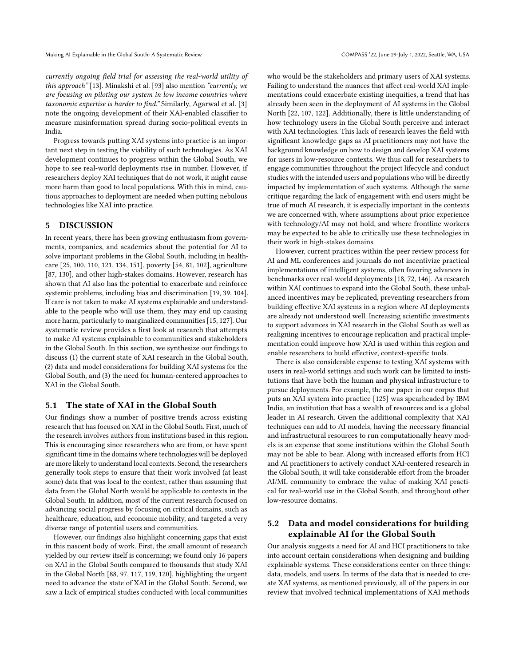currently ongoing field trial for assessing the real-world utility of this approach" [\[13\]](#page-10-16). Minakshi et al. [\[93\]](#page-12-31) also mention "currently, we are focusing on piloting our system in low income countries where taxonomic expertise is harder to find." Similarly, Agarwal et al. [\[3\]](#page-10-19) note the ongoing development of their XAI-enabled classifier to measure misinformation spread during socio-political events in India.

Progress towards putting XAI systems into practice is an important next step in testing the viability of such technologies. As XAI development continues to progress within the Global South, we hope to see real-world deployments rise in number. However, if researchers deploy XAI techniques that do not work, it might cause more harm than good to local populations. With this in mind, cautious approaches to deployment are needed when putting nebulous technologies like XAI into practice.

#### 5 DISCUSSION

In recent years, there has been growing enthusiasm from governments, companies, and academics about the potential for AI to solve important problems in the Global South, including in healthcare [\[25,](#page-10-24) [100,](#page-12-36) [110,](#page-12-37) [121,](#page-12-38) [134,](#page-13-28) [151\]](#page-13-29), poverty [\[54,](#page-11-3) [81,](#page-12-9) [102\]](#page-12-10), agriculture [\[87,](#page-12-39) [130\]](#page-13-30), and other high-stakes domains. However, research has shown that AI also has the potential to exacerbate and reinforce systemic problems, including bias and discrimination [\[19,](#page-10-25) [39,](#page-11-44) [104\]](#page-12-40). If care is not taken to make AI systems explainable and understandable to the people who will use them, they may end up causing more harm, particularly to marginalized communities [\[15,](#page-10-6) [127\]](#page-13-24). Our systematic review provides a first look at research that attempts to make AI systems explainable to communities and stakeholders in the Global South. In this section, we synthesize our findings to discuss (1) the current state of XAI research in the Global South, (2) data and model considerations for building XAI systems for the Global South, and (3) the need for human-centered approaches to XAI in the Global South.

#### 5.1 The state of XAI in the Global South

Our findings show a number of positive trends across existing research that has focused on XAI in the Global South. First, much of the research involves authors from institutions based in this region. This is encouraging since researchers who are from, or have spent significant time in the domains where technologies will be deployed are more likely to understand local contexts. Second, the researchers generally took steps to ensure that their work involved (at least some) data that was local to the context, rather than assuming that data from the Global North would be applicable to contexts in the Global South. In addition, most of the current research focused on advancing social progress by focusing on critical domains, such as healthcare, education, and economic mobility, and targeted a very diverse range of potential users and communities.

However, our findings also highlight concerning gaps that exist in this nascent body of work. First, the small amount of research yielded by our review itself is concerning; we found only 16 papers on XAI in the Global South compared to thousands that study XAI in the Global North [\[88,](#page-12-20) [97,](#page-12-22) [117,](#page-12-14) [119,](#page-12-15) [120\]](#page-12-16), highlighting the urgent need to advance the state of XAI in the Global South. Second, we saw a lack of empirical studies conducted with local communities who would be the stakeholders and primary users of XAI systems. Failing to understand the nuances that affect real-world XAI implementations could exacerbate existing inequities, a trend that has already been seen in the deployment of AI systems in the Global North [\[22,](#page-10-2) [107,](#page-12-41) [122\]](#page-12-42). Additionally, there is little understanding of how technology users in the Global South perceive and interact with XAI technologies. This lack of research leaves the field with significant knowledge gaps as AI practitioners may not have the background knowledge on how to design and develop XAI systems for users in low-resource contexts. We thus call for researchers to engage communities throughout the project lifecycle and conduct studies with the intended users and populations who will be directly impacted by implementation of such systems. Although the same critique regarding the lack of engagement with end users might be true of much AI research, it is especially important in the contexts we are concerned with, where assumptions about prior experience with technology/AI may not hold, and where frontline workers may be expected to be able to critically use these technologies in their work in high-stakes domains.

However, current practices within the peer review process for AI and ML conferences and journals do not incentivize practical implementations of intelligent systems, often favoring advances in benchmarks over real-world deployments [\[18,](#page-10-26) [72,](#page-11-45) [146\]](#page-13-31). As research within XAI continues to expand into the Global South, these unbalanced incentives may be replicated, preventing researchers from building effective XAI systems in a region where AI deployments are already not understood well. Increasing scientific investments to support advances in XAI research in the Global South as well as realigning incentives to encourage replication and practical implementation could improve how XAI is used within this region and enable researchers to build effective, context-specific tools.

There is also considerable expense to testing XAI systems with users in real-world settings and such work can be limited to institutions that have both the human and physical infrastructure to pursue deployments. For example, the one paper in our corpus that puts an XAI system into practice [\[125\]](#page-13-23) was spearheaded by IBM India, an institution that has a wealth of resources and is a global leader in AI research. Given the additional complexity that XAI techniques can add to AI models, having the necessary financial and infrastructural resources to run computationally heavy models is an expense that some institutions within the Global South may not be able to bear. Along with increased efforts from HCI and AI practitioners to actively conduct XAI-centered research in the Global South, it will take considerable effort from the broader AI/ML community to embrace the value of making XAI practical for real-world use in the Global South, and throughout other low-resource domains.

# 5.2 Data and model considerations for building explainable AI for the Global South

Our analysis suggests a need for AI and HCI practitioners to take into account certain considerations when designing and building explainable systems. These considerations center on three things: data, models, and users. In terms of the data that is needed to create XAI systems, as mentioned previously, all of the papers in our review that involved technical implementations of XAI methods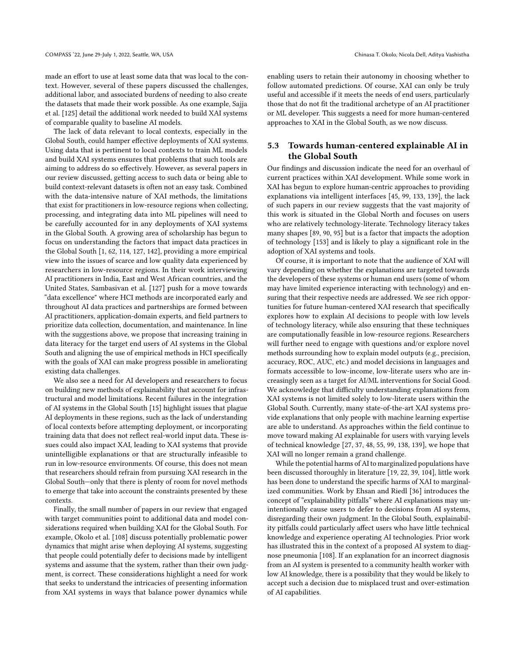made an effort to use at least some data that was local to the context. However, several of these papers discussed the challenges, additional labor, and associated burdens of needing to also create the datasets that made their work possible. As one example, Sajja et al. [\[125\]](#page-13-23) detail the additional work needed to build XAI systems of comparable quality to baseline AI models.

The lack of data relevant to local contexts, especially in the Global South, could hamper effective deployments of XAI systems. Using data that is pertinent to local contexts to train ML models and build XAI systems ensures that problems that such tools are aiming to address do so effectively. However, as several papers in our review discussed, getting access to such data or being able to build context-relevant datasets is often not an easy task. Combined with the data-intensive nature of XAI methods, the limitations that exist for practitioners in low-resource regions when collecting, processing, and integrating data into ML pipelines will need to be carefully accounted for in any deployments of XAI systems in the Global South. A growing area of scholarship has begun to focus on understanding the factors that impact data practices in the Global South [\[1,](#page-10-21) [62,](#page-11-43) [114,](#page-12-43) [127,](#page-13-24) [142\]](#page-13-27), providing a more empirical view into the issues of scarce and low quality data experienced by researchers in low-resource regions. In their work interviewing AI practitioners in India, East and West African countries, and the United States, Sambasivan et al. [\[127\]](#page-13-24) push for a move towards "data excellence" where HCI methods are incorporated early and throughout AI data practices and partnerships are formed between AI practitioners, application-domain experts, and field partners to prioritize data collection, documentation, and maintenance. In line with the suggestions above, we propose that increasing training in data literacy for the target end users of AI systems in the Global South and aligning the use of empirical methods in HCI specifically with the goals of XAI can make progress possible in ameliorating existing data challenges.

We also see a need for AI developers and researchers to focus on building new methods of explainability that account for infrastructural and model limitations. Recent failures in the integration of AI systems in the Global South [\[15\]](#page-10-6) highlight issues that plague AI deployments in these regions, such as the lack of understanding of local contexts before attempting deployment, or incorporating training data that does not reflect real-world input data. These issues could also impact XAI, leading to XAI systems that provide unintelligible explanations or that are structurally infeasible to run in low-resource environments. Of course, this does not mean that researchers should refrain from pursuing XAI research in the Global South—only that there is plenty of room for novel methods to emerge that take into account the constraints presented by these contexts.

Finally, the small number of papers in our review that engaged with target communities point to additional data and model considerations required when building XAI for the Global South. For example, Okolo et al. [\[108\]](#page-12-30) discuss potentially problematic power dynamics that might arise when deploying AI systems, suggesting that people could potentially defer to decisions made by intelligent systems and assume that the system, rather than their own judgment, is correct. These considerations highlight a need for work that seeks to understand the intricacies of presenting information from XAI systems in ways that balance power dynamics while

enabling users to retain their autonomy in choosing whether to follow automated predictions. Of course, XAI can only be truly useful and accessible if it meets the needs of end users, particularly those that do not fit the traditional archetype of an AI practitioner or ML developer. This suggests a need for more human-centered approaches to XAI in the Global South, as we now discuss.

# 5.3 Towards human-centered explainable AI in the Global South

Our findings and discussion indicate the need for an overhaul of current practices within XAI development. While some work in XAI has begun to explore human-centric approaches to providing explanations via intelligent interfaces [\[45,](#page-11-46) [99,](#page-12-26) [133,](#page-13-32) [139\]](#page-13-15), the lack of such papers in our review suggests that the vast majority of this work is situated in the Global North and focuses on users who are relatively technology-literate. Technology literacy takes many shapes [\[89,](#page-12-44) [90,](#page-12-45) [95\]](#page-12-46) but is a factor that impacts the adoption of technology [\[153\]](#page-13-33) and is likely to play a significant role in the adoption of XAI systems and tools.

Of course, it is important to note that the audience of XAI will vary depending on whether the explanations are targeted towards the developers of these systems or human end users (some of whom may have limited experience interacting with technology) and ensuring that their respective needs are addressed. We see rich opportunities for future human-centered XAI research that specifically explores how to explain AI decisions to people with low levels of technology literacy, while also ensuring that these techniques are computationally feasible in low-resource regions. Researchers will further need to engage with questions and/or explore novel methods surrounding how to explain model outputs (e.g., precision, accuracy, ROC, AUC, etc.) and model decisions in languages and formats accessible to low-income, low-literate users who are increasingly seen as a target for AI/ML interventions for Social Good. We acknowledge that difficulty understanding explanations from XAI systems is not limited solely to low-literate users within the Global South. Currently, many state-of-the-art XAI systems provide explanations that only people with machine learning expertise are able to understand. As approaches within the field continue to move toward making AI explainable for users with varying levels of technical knowledge [\[27,](#page-10-13) [37,](#page-11-27) [48,](#page-11-26) [55,](#page-11-28) [99,](#page-12-26) [138,](#page-13-14) [139\]](#page-13-15), we hope that XAI will no longer remain a grand challenge.

While the potential harms of AI to marginalized populations have been discussed thoroughly in literature [\[19,](#page-10-25) [22,](#page-10-2) [39,](#page-11-44) [104\]](#page-12-40), little work has been done to understand the specific harms of XAI to marginalized communities. Work by Ehsan and Riedl [\[36\]](#page-11-47) introduces the concept of "explainability pitfalls" where AI explanations may unintentionally cause users to defer to decisions from AI systems, disregarding their own judgment. In the Global South, explainability pitfalls could particularly affect users who have little technical knowledge and experience operating AI technologies. Prior work has illustrated this in the context of a proposed AI system to diagnose pneumonia [\[108\]](#page-12-30). If an explanation for an incorrect diagnosis from an AI system is presented to a community health worker with low AI knowledge, there is a possibility that they would be likely to accept such a decision due to misplaced trust and over-estimation of AI capabilities.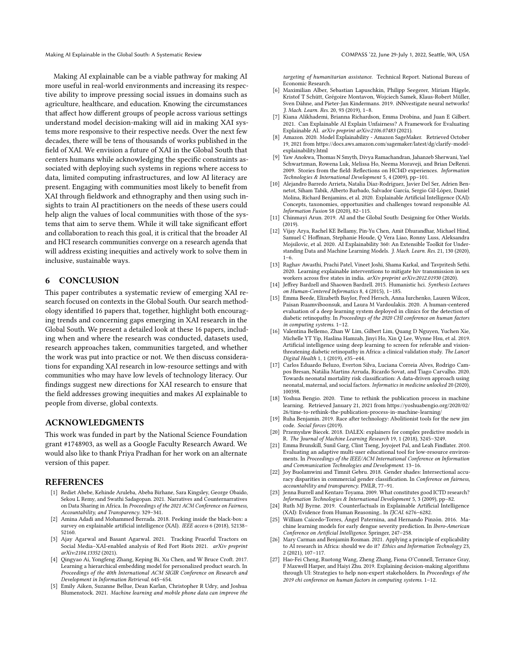Making AI Explainable in the Global South: A Systematic Review COMPASS '22, June 29-July 1, 2022, Seattle, WA, USA

Making AI explainable can be a viable pathway for making AI more useful in real-world environments and increasing its respective ability to improve pressing social issues in domains such as agriculture, healthcare, and education. Knowing the circumstances that affect how different groups of people across various settings understand model decision-making will aid in making XAI systems more responsive to their respective needs. Over the next few decades, there will be tens of thousands of works published in the field of XAI. We envision a future of XAI in the Global South that centers humans while acknowledging the specific constraints associated with deploying such systems in regions where access to data, limited computing infrastructures, and low AI literacy are present. Engaging with communities most likely to benefit from XAI through fieldwork and ethnography and then using such insights to train AI practitioners on the needs of these users could help align the values of local communities with those of the systems that aim to serve them. While it will take significant effort and collaboration to reach this goal, it is critical that the broader AI and HCI research communities converge on a research agenda that will address existing inequities and actively work to solve them in inclusive, sustainable ways.

# 6 CONCLUSION

This paper contributes a systematic review of emerging XAI research focused on contexts in the Global South. Our search methodology identified 16 papers that, together, highlight both encouraging trends and concerning gaps emerging in XAI research in the Global South. We present a detailed look at these 16 papers, including when and where the research was conducted, datasets used, research approaches taken, communities targeted, and whether the work was put into practice or not. We then discuss considerations for expanding XAI research in low-resource settings and with communities who may have low levels of technology literacy. Our findings suggest new directions for XAI research to ensure that the field addresses growing inequities and makes AI explainable to people from diverse, global contexts.

# ACKNOWLEDGMENTS

This work was funded in part by the National Science Foundation grant #1748903, as well as a Google Faculty Research Award. We would also like to thank Priya Pradhan for her work on an alternate version of this paper.

#### **REFERENCES**

- <span id="page-10-21"></span>[1] Rediet Abebe, Kehinde Aruleba, Abeba Birhane, Sara Kingsley, George Obaido, Sekou L Remy, and Swathi Sadagopan. 2021. Narratives and Counternarratives on Data Sharing in Africa. In Proceedings of the 2021 ACM Conference on Fairness, Accountability, and Transparency. 329–341.
- <span id="page-10-7"></span>[2] Amina Adadi and Mohammed Berrada. 2018. Peeking inside the black-box: a survey on explainable artificial intelligence (XAI). IEEE access 6 (2018), 52138-52160.
- <span id="page-10-19"></span>[3] Ajay Agarwal and Basant Agarwal. 2021. Tracking Peaceful Tractors on Social Media–XAI-enabled analysis of Red Fort Riots 2021. arXiv preprint arXiv:2104.13352 (2021).
- <span id="page-10-0"></span>[4] Qingyao Ai, Yongfeng Zhang, Keping Bi, Xu Chen, and W Bruce Croft. 2017. Learning a hierarchical embedding model for personalized product search. In Proceedings of the 40th International ACM SIGIR Conference on Research and Development in Information Retrieval. 645–654.
- <span id="page-10-1"></span>[5] Emily Aiken, Suzanne Bellue, Dean Karlan, Christopher R Udry, and Joshua Blumenstock. 2021. Machine learning and mobile phone data can improve the

targeting of humanitarian assistance. Technical Report. National Bureau of Economic Research.

- <span id="page-10-12"></span>[6] Maximilian Alber, Sebastian Lapuschkin, Philipp Seegerer, Miriam Hägele, Kristof T Schütt, Grégoire Montavon, Wojciech Samek, Klaus-Robert Müller, Sven Dähne, and Pieter-Jan Kindermans. 2019. iNNvestigate neural networks! J. Mach. Learn. Res. 20, 93 (2019), 1–8.
- <span id="page-10-14"></span>[7] Kiana Alikhademi, Brianna Richardson, Emma Drobina, and Juan E Gilbert. 2021. Can Explainable AI Explain Unfairness? A Framework for Evaluating Explainable AI. arXiv preprint arXiv:2106.07483 (2021).
- <span id="page-10-10"></span>[8] Amazon. 2020. Model Explainability - Amazon SageMaker. Retrieved October 19, 2021 from [https://docs.aws.amazon.com/sagemaker/latest/dg/clarify-model](https://docs.aws.amazon.com/sagemaker/latest/dg/clarify-model-explainability.html)[explainability.html](https://docs.aws.amazon.com/sagemaker/latest/dg/clarify-model-explainability.html)
- <span id="page-10-22"></span>Yaw Anokwa, Thomas N Smyth, Divya Ramachandran, Jahanzeb Sherwani, Yael Schwartzman, Rowena Luk, Melissa Ho, Neema Moraveji, and Brian DeRenzi. 2009. Stories from the field: Reflections on HCI4D experiences. Information Technologies & International Development 5, 4 (2009), pp–101.
- <span id="page-10-3"></span>[10] Alejandro Barredo Arrieta, Natalia Díaz-Rodríguez, Javier Del Ser, Adrien Bennetot, Siham Tabik, Alberto Barbado, Salvador García, Sergio Gil-López, Daniel Molina, Richard Benjamins, et al. 2020. Explainable Artificial Intelligence (XAI): Concepts, taxonomies, opportunities and challenges toward responsible AI. Information Fusion 58 (2020), 82–115.
- <span id="page-10-15"></span>[11] Chinmayi Arun. 2019. AI and the Global South: Designing for Other Worlds. (2019).
- <span id="page-10-9"></span>[12] Vijay Arya, Rachel KE Bellamy, Pin-Yu Chen, Amit Dhurandhar, Michael Hind, Samuel C Hoffman, Stephanie Houde, Q Vera Liao, Ronny Luss, Aleksandra Mojsilovic, et al. 2020. AI Explainability 360: An Extensible Toolkit for Understanding Data and Machine Learning Models. J. Mach. Learn. Res. 21, 130 (2020),  $1 - 6$
- <span id="page-10-16"></span>[13] Raghav Awasthi, Prachi Patel, Vineet Joshi, Shama Karkal, and Tavpritesh Sethi. 2020. Learning explainable interventions to mitigate hiv transmission in sex workers across five states in india. arXiv preprint arXiv:2012.01930 (2020).
- <span id="page-10-17"></span>[14] Jeffrey Bardzell and Shaowen Bardzell. 2015. Humanistic hci. Synthesis Lectures on Human-Centered Informatics 8, 4 (2015), 1–185.
- <span id="page-10-6"></span>[15] Emma Beede, Elizabeth Baylor, Fred Hersch, Anna Iurchenko, Lauren Wilcox, Paisan Ruamviboonsuk, and Laura M Vardoulakis. 2020. A human-centered evaluation of a deep learning system deployed in clinics for the detection of diabetic retinopathy. In Proceedings of the 2020 CHI conference on human factors in computing systems. 1–12.
- <span id="page-10-4"></span>[16] Valentina Bellemo, Zhan W Lim, Gilbert Lim, Quang D Nguyen, Yuchen Xie, Michelle YT Yip, Haslina Hamzah, Jinyi Ho, Xin Q Lee, Wynne Hsu, et al. 2019. Artificial intelligence using deep learning to screen for referable and visionthreatening diabetic retinopathy in Africa: a clinical validation study. The Lancet Digital Health 1, 1 (2019), e35–e44.
- <span id="page-10-18"></span>[17] Carlos Eduardo Beluzo, Everton Silva, Luciana Correia Alves, Rodrigo Campos Bresan, Natália Martins Arruda, Ricardo Sovat, and Tiago Carvalho. 2020. Towards neonatal mortality risk classification: A data-driven approach using neonatal, maternal, and social factors. Informatics in medicine unlocked 20 (2020), 100398.
- <span id="page-10-26"></span>[18] Yoshua Bengio. 2020. Time to rethink the publication process in machine learning. Retrieved January 21, 2021 from [https://yoshuabengio.org/2020/02/](https://yoshuabengio.org/2020/02/26/time-to-rethink-the-publication-process-in-machine-learning/) [26/time-to-rethink-the-publication-process-in-machine-learning/](https://yoshuabengio.org/2020/02/26/time-to-rethink-the-publication-process-in-machine-learning/)
- <span id="page-10-25"></span>[19] Ruha Benjamin. 2019. Race after technology: Abolitionist tools for the new jim code. Social forces (2019).
- <span id="page-10-11"></span>[20] Przemysław Biecek. 2018. DALEX: explainers for complex predictive models in R. The Journal of Machine Learning Research 19, 1 (2018), 3245–3249.
- <span id="page-10-5"></span>[21] Emma Brunskill, Sunil Garg, Clint Tseng, Joyojeet Pal, and Leah Findlater. 2010. Evaluating an adaptive multi-user educational tool for low-resource environments. In Proceedings of the IEEE/ACM International Conference on Information and Communication Technologies and Development. 13–16.
- <span id="page-10-2"></span>[22] Joy Buolamwini and Timnit Gebru. 2018. Gender shades: Intersectional accuracy disparities in commercial gender classification. In Conference on fairness, accountability and transparency. PMLR, 77–91.
- <span id="page-10-23"></span>[23] Jenna Burrell and Kentaro Toyama. 2009. What constitutes good ICTD research? Information Technologies & International Development 5, 3 (2009), pp–82.
- <span id="page-10-8"></span>[24] Ruth MJ Byrne. 2019. Counterfactuals in Explainable Artificial Intelligence (XAI): Evidence from Human Reasoning.. In IJCAI. 6276-6282.
- <span id="page-10-24"></span>[25] William Caicedo-Torres, Ángel Paternina, and Hernando Pinzón. 2016. Machine learning models for early dengue severity prediction. In Ibero-American Conference on Artificial Intelligence. Springer, 247–258.
- <span id="page-10-20"></span>[26] Mary Carman and Benjamin Rosman. 2021. Applying a principle of explicability to AI research in Africa: should we do it? Ethics and Information Technology 23, 2 (2021), 107–117.
- <span id="page-10-13"></span>[27] Hao-Fei Cheng, Ruotong Wang, Zheng Zhang, Fiona O'Connell, Terrance Gray, F Maxwell Harper, and Haiyi Zhu. 2019. Explaining decision-making algorithms through UI: Strategies to help non-expert stakeholders. In Proceedings of the 2019 chi conference on human factors in computing systems. 1–12.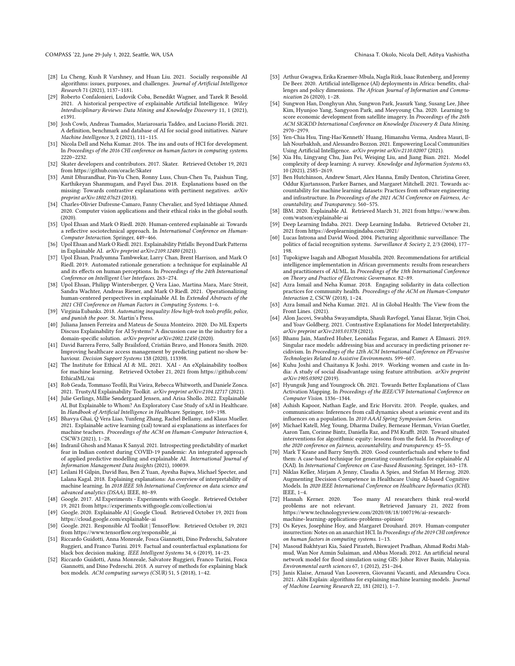COMPASS '22, June 29-July 1, 2022, Seattle, WA, USA Chinasa T. Okolo, Nicola Dell, Aditya Vashistha

- <span id="page-11-10"></span>[28] Lu Cheng, Kush R Varshney, and Huan Liu. 2021. Socially responsible AI algorithms: issues, purposes, and challenges. Journal of Artificial Intelligence Research 71 (2021), 1137–1181.
- <span id="page-11-2"></span>[29] Roberto Confalonieri, Ludovik Coba, Benedikt Wagner, and Tarek R Besold. 2021. A historical perspective of explainable Artificial Intelligence. Wiley Interdisciplinary Reviews: Data Mining and Knowledge Discovery 11, 1 (2021), e1391.
- <span id="page-11-30"></span>[30] Josh Cowls, Andreas Tsamados, Mariarosaria Taddeo, and Luciano Floridi. 2021. A definition, benchmark and database of AI for social good initiatives. Nature Machine Intelligence 3, 2 (2021), 111–115.
- <span id="page-11-31"></span>[31] Nicola Dell and Neha Kumar. 2016. The ins and outs of HCI for development. In Proceedings of the 2016 CHI conference on human factors in computing systems. 2220–2232.
- <span id="page-11-22"></span>[32] Skater developers and contributors. 2017. Skater. Retrieved October 19, 2021 from<https://github.com/oracle/Skater>
- <span id="page-11-14"></span>[33] Amit Dhurandhar, Pin-Yu Chen, Ronny Luss, Chun-Chen Tu, Paishun Ting, Karthikeyan Shanmugam, and Payel Das. 2018. Explanations based on the missing: Towards contrastive explanations with pertinent negatives. arXiv preprint arXiv:1802.07623 (2018).
- <span id="page-11-8"></span>[34] Charles-Olivier Dufresne-Camaro, Fanny Chevalier, and Syed Ishtiaque Ahmed. 2020. Computer vision applications and their ethical risks in the global south. (2020).
- <span id="page-11-24"></span>[35] Upol Ehsan and Mark O Riedl. 2020. Human-centered explainable ai: Towards a reflective sociotechnical approach. In International Conference on Human-Computer Interaction. Springer, 449–466.
- <span id="page-11-47"></span>[36] Upol Ehsan and Mark O Riedl. 2021. Explainability Pitfalls: Beyond Dark Patterns in Explainable AI. arXiv preprint arXiv:2109.12480 (2021).
- <span id="page-11-27"></span>[37] Upol Ehsan, Pradyumna Tambwekar, Larry Chan, Brent Harrison, and Mark O Riedl. 2019. Automated rationale generation: a technique for explainable AI and its effects on human perceptions. In Proceedings of the 24th International Conference on Intelligent User Interfaces. 263–274.
- <span id="page-11-41"></span>[38] Upol Ehsan, Philipp Wintersberger, Q Vera Liao, Martina Mara, Marc Streit, Sandra Wachter, Andreas Riener, and Mark O Riedl. 2021. Operationalizing human-centered perspectives in explainable AI. In Extended Abstracts of the 2021 CHI Conference on Human Factors in Computing Systems. 1–6.
- <span id="page-11-44"></span>[39] Virginia Eubanks. 2018. Automating inequality: How high-tech tools profile, police, and punish the poor. St. Martin's Press.
- <span id="page-11-29"></span>[40] Juliana Jansen Ferreira and Mateus de Souza Monteiro. 2020. Do ML Experts Discuss Explainability for AI Systems? A discussion case in the industry for a domain-specific solution. arXiv preprint arXiv:2002.12450 (2020).
- <span id="page-11-35"></span>[41] David Barrera Ferro, Sally Brailsford, Cristián Bravo, and Honora Smith. 2020. Improving healthcare access management by predicting patient no-show behaviour. Decision Support Systems 138 (2020), 113398.
- <span id="page-11-23"></span>[42] The Institute for Ethical AI & ML. 2021. XAI - An eXplainability toolbox for machine learning. Retrieved October 21, 2021 from [https://github.com/](https://github.com/EthicalML/xai) [EthicalML/xai](https://github.com/EthicalML/xai)
- <span id="page-11-20"></span>[43] Rob Geada, Tommaso Teofili, Rui Vieira, Rebecca Whitworth, and Daniele Zonca. 2021. TrustyAI Explainability Toolkit. arXiv preprint arXiv:2104.12717 (2021).
- <span id="page-11-36"></span>[44] Julie Gerlings, Millie Søndergaard Jensen, and Arisa Shollo. 2022. Explainable AI, But Explainable to Whom? An Exploratory Case Study of xAI in Healthcare. In Handbook of Artificial Intelligence in Healthcare. Springer, 169–198.
- <span id="page-11-46"></span>[45] Bhavya Ghai, Q Vera Liao, Yunfeng Zhang, Rachel Bellamy, and Klaus Mueller. 2021. Explainable active learning (xal) toward ai explanations as interfaces for machine teachers. Proceedings of the ACM on Human-Computer Interaction 4, CSCW3 (2021), 1–28.
- <span id="page-11-39"></span>[46] Indranil Ghosh and Manas K Sanyal. 2021. Introspecting predictability of market fear in Indian context during COVID-19 pandemic: An integrated approach of applied predictive modelling and explainable AI. International Journal of Information Management Data Insights (2021), 100039.
- <span id="page-11-6"></span>[47] Leilani H Gilpin, David Bau, Ben Z Yuan, Ayesha Bajwa, Michael Specter, and Lalana Kagal. 2018. Explaining explanations: An overview of interpretability of machine learning. In 2018 IEEE 5th International Conference on data science and advanced analytics (DSAA). IEEE, 80–89.
- <span id="page-11-26"></span>[48] Google. 2017. AI Experiments - Experiments with Google. Retrieved October 19, 2021 from<https://experiments.withgoogle.com/collection/ai>
- <span id="page-11-18"></span>[49] Google. 2020. Explainable AI | Google Cloud. Retrieved October 19, 2021 from <https://cloud.google.com/explainable-ai>
- <span id="page-11-19"></span>[50] Google. 2021. Responsible AI Toolkit | TensorFlow. Retrieved October 19, 2021 from [https://www.tensorflow.org/responsible\\_ai](https://www.tensorflow.org/responsible_ai)
- <span id="page-11-16"></span>[51] Riccardo Guidotti, Anna Monreale, Fosca Giannotti, Dino Pedreschi, Salvatore Ruggieri, and Franco Turini. 2019. Factual and counterfactual explanations for black box decision making. IEEE Intelligent Systems 34, 6 (2019), 14–23.
- <span id="page-11-7"></span>[52] Riccardo Guidotti, Anna Monreale, Salvatore Ruggieri, Franco Turini, Fosca Giannotti, and Dino Pedreschi. 2018. A survey of methods for explaining black box models. ACM computing surveys (CSUR) 51, 5 (2018), 1–42.
- <span id="page-11-9"></span>[53] Arthur Gwagwa, Erika Kraemer-Mbula, Nagla Rizk, Isaac Rutenberg, and Jeremy De Beer. 2020. Artificial intelligence (AI) deployments in Africa: benefits, challenges and policy dimensions. The African Journal of Information and Communication 26 (2020), 1–28.
- <span id="page-11-3"></span>[54] Sungwon Han, Donghyun Ahn, Sungwon Park, Jeasurk Yang, Susang Lee, Jihee Kim, Hyunjoo Yang, Sangyoon Park, and Meeyoung Cha. 2020. Learning to score economic development from satellite imagery. In Proceedings of the 26th ACM SIGKDD International Conference on Knowledge Discovery & Data Mining. 2970–2979.
- <span id="page-11-28"></span>[55] Yen-Chia Hsu, Ting-Hao'Kenneth' Huang, Himanshu Verma, Andrea Mauri, Illah Nourbakhsh, and Alessandro Bozzon. 2021. Empowering Local Communities Using Artificial Intelligence. arXiv preprint arXiv:2110.02007 (2021).
- <span id="page-11-42"></span>[56] Xia Hu, Lingyang Chu, Jian Pei, Weiqing Liu, and Jiang Bian. 2021. Model complexity of deep learning: A survey. Knowledge and Information Systems 63, 10 (2021), 2585–2619.
- <span id="page-11-40"></span>[57] Ben Hutchinson, Andrew Smart, Alex Hanna, Emily Denton, Christina Greer, Oddur Kjartansson, Parker Barnes, and Margaret Mitchell. 2021. Towards accountability for machine learning datasets: Practices from software engineering and infrastructure. In Proceedings of the 2021 ACM Conference on Fairness, Accountability, and Transparency. 560–575.
- <span id="page-11-12"></span>[58] IBM. 2020. Explainable AI. Retrieved March 31, 2021 from [https://www.ibm.](https://www.ibm.com/watson/explainable-ai) [com/watson/explainable-ai](https://www.ibm.com/watson/explainable-ai)
- <span id="page-11-34"></span>[59] Deep Learning Indaba. 2021. Deep Learning Indaba. Retrieved October 21, 2021 from<https://deeplearningindaba.com/2021/>
- <span id="page-11-1"></span>[60] Lucas Introna and David Wood. 2004. Picturing algorithmic surveillance: The politics of facial recognition systems. Surveillance & Society 2, 2/3 (2004), 177– 198.
- <span id="page-11-11"></span>[61] Tupokigwe Isagah and Albogast Musabila. 2020. Recommendations for artificial intelligence implementation in African governments: results from researchers and practitioners of AI/ML. In Proceedings of the 13th International Conference on Theory and Practice of Electronic Governance. 82–89.
- <span id="page-11-43"></span>[62] Azra Ismail and Neha Kumar. 2018. Engaging solidarity in data collection practices for community health. Proceedings of the ACM on Human-Computer Interaction 2, CSCW (2018), 1–24.
- <span id="page-11-32"></span>[63] Azra Ismail and Neha Kumar. 2021. AI in Global Health: The View from the Front Lines. (2021).
- <span id="page-11-15"></span>[64] Alon Jacovi, Swabha Swayamdipta, Shauli Ravfogel, Yanai Elazar, Yejin Choi, and Yoav Goldberg. 2021. Contrastive Explanations for Model Interpretability. arXiv preprint arXiv:2103.01378 (2021).
- <span id="page-11-0"></span>[65] Bhanu Jain, Manfred Huber, Leonidas Fegaras, and Ramez A Elmasri. 2019. Singular race models: addressing bias and accuracy in predicting prisoner recidivism. In Proceedings of the 12th ACM International Conference on PErvasive Technologies Related to Assistive Environments. 599–607.
- <span id="page-11-38"></span>[66] Kuhu Joshi and Chaitanya K Joshi. 2019. Working women and caste in India: A study of social disadvantage using feature attribution. arXiv preprint arXiv:1905.03092 (2019).
- <span id="page-11-13"></span>[67] Hyungsik Jung and Youngrock Oh. 2021. Towards Better Explanations of Class Activation Mapping. In Proceedings of the IEEE/CVF International Conference on Computer Vision. 1336–1344.
- <span id="page-11-4"></span>[68] Ashish Kapoor, Nathan Eagle, and Eric Horvitz. 2010. People, quakes, and communications: Inferences from call dynamics about a seismic event and its influences on a population. In 2010 AAAI Spring Symposium Series.
- <span id="page-11-25"></span>[69] Michael Katell, Meg Young, Dharma Dailey, Bernease Herman, Vivian Guetler, Aaron Tam, Corinne Bintz, Daniella Raz, and PM Krafft. 2020. Toward situated interventions for algorithmic equity: lessons from the field. In Proceedings of the 2020 conference on fairness, accountability, and transparency. 45–55.
- <span id="page-11-17"></span>[70] Mark T Keane and Barry Smyth. 2020. Good counterfactuals and where to find them: A case-based technique for generating counterfactuals for explainable AI (XAI). In International Conference on Case-Based Reasoning. Springer, 163–178.
- <span id="page-11-37"></span>[71] Niklas Keller, Mirjam A Jenny, Claudia A Spies, and Stefan M Herzog. 2020. Augmenting Decision Competence in Healthcare Using AI-based Cognitive Models. In 2020 IEEE International Conference on Healthcare Informatics (ICHI). IEEE, 1-4.<br>[72] Hannah Kerner. 2020.
- <span id="page-11-45"></span>Too many AI researchers think real-world problems are not relevant. Retrieved January 21, 2022 from [https://www.technologyreview.com/2020/08/18/1007196/ai-research](https://www.technologyreview.com/2020/08/18/1007196/ai-research-machine-learning-applications-problems-opinion/)[machine-learning-applications-problems-opinion/](https://www.technologyreview.com/2020/08/18/1007196/ai-research-machine-learning-applications-problems-opinion/)
- <span id="page-11-33"></span>[73] Os Keyes, Josephine Hoy, and Margaret Drouhard. 2019. Human-computer insurrection: Notes on an anarchist HCI. In Proceedings of the 2019 CHI conference on human factors in computing systems. 1–13.
- <span id="page-11-5"></span>[74] Masoud Bakhtyari Kia, Saied Pirasteh, Biswajeet Pradhan, Ahmad Rodzi Mahmud, Wan Nor Azmin Sulaiman, and Abbas Moradi. 2012. An artificial neural network model for flood simulation using GIS: Johor River Basin, Malaysia. Environmental earth sciences 67, 1 (2012), 251–264.
- <span id="page-11-21"></span>[75] Janis Klaise, Arnaud Van Looveren, Giovanni Vacanti, and Alexandru Coca. 2021. Alibi Explain: algorithms for explaining machine learning models. Journal of Machine Learning Research 22, 181 (2021), 1–7.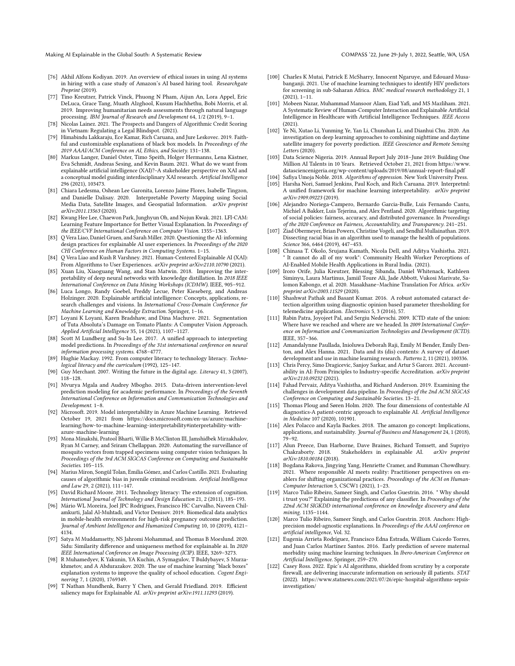Making AI Explainable in the Global South: A Systematic Review COMPASS '22, June 29-July 1, 2022, Seattle, WA, USA

- <span id="page-12-0"></span>[76] Akhil Alfons Kodiyan. 2019. An overview of ethical issues in using AI systems in hiring with a case study of Amazon's AI based hiring tool. Researchgate Preprint (2019).
- <span id="page-12-3"></span>[77] Tino Kreutzer, Patrick Vinck, Phuong N Pham, Aijun An, Lora Appel, Eric DeLuca, Grace Tang, Muath Alzghool, Kusum Hachhethu, Bobi Morris, et al. 2019. Improving humanitarian needs assessments through natural language processing. IBM Journal of Research and Development 64, 1/2 (2019), 9–1.
- <span id="page-12-1"></span>[78] Nicolas Lainez. 2021. The Prospects and Dangers of Algorithmic Credit Scoring in Vietnam: Regulating a Legal Blindspot. (2021).
- <span id="page-12-17"></span>[79] Himabindu Lakkaraju, Ece Kamar, Rich Caruana, and Jure Leskovec. 2019. Faithful and customizable explanations of black box models. In Proceedings of the 2019 AAAI/ACM Conference on AI, Ethics, and Society. 131–138.
- <span id="page-12-6"></span>[80] Markus Langer, Daniel Oster, Timo Speith, Holger Hermanns, Lena Kästner, Eva Schmidt, Andreas Sesing, and Kevin Baum. 2021. What do we want from explainable artificial intelligence (XAI)?–A stakeholder perspective on XAI and a conceptual model guiding interdisciplinary XAI research. Artificial Intelligence 296 (2021), 103473.
- <span id="page-12-9"></span>[81] Chiara Ledesma, Oshean Lee Garonita, Lorenzo Jaime Flores, Isabelle Tingzon, and Danielle Dalisay. 2020. Interpretable Poverty Mapping using Social Media Data, Satellite Images, and Geospatial Information. arXiv preprint arXiv:2011.13563 (2020).
- <span id="page-12-21"></span>[82] Kwang Hee Lee, Chaewon Park, Junghyun Oh, and Nojun Kwak. 2021. LFI-CAM: Learning Feature Importance for Better Visual Explanation. In Proceedings of the IEEE/CVF International Conference on Computer Vision. 1355–1363.
- <span id="page-12-25"></span>[83] Q Vera Liao, Daniel Gruen, and Sarah Miller. 2020. Questioning the AI: informing design practices for explainable AI user experiences. In Proceedings of the 2020 CHI Conference on Human Factors in Computing Systems. 1–15.
- <span id="page-12-35"></span>[84] Q Vera Liao and Kush R Varshney. 2021. Human-Centered Explainable AI (XAI): From Algorithms to User Experiences. arXiv preprint arXiv:2110.10790 (2021).
- <span id="page-12-18"></span>[85] Xuan Liu, Xiaoguang Wang, and Stan Matwin. 2018. Improving the interpretability of deep neural networks with knowledge distillation. In 2018 IEEE International Conference on Data Mining Workshops (ICDMW). IEEE, 905–912.
- <span id="page-12-7"></span>[86] Luca Longo, Randy Goebel, Freddy Lecue, Peter Kieseberg, and Andreas Holzinger. 2020. Explainable artificial intelligence: Concepts, applications, research challenges and visions. In International Cross-Domain Conference for
- <span id="page-12-39"></span>Machine Learning and Knowledge Extraction. Springer, 1–16. [87] Loyani K Loyani, Karen Bradshaw, and Dina Machuve. 2021. Segmentation of Tuta Absoluta's Damage on Tomato Plants: A Computer Vision Approach. Applied Artificial Intelligence 35, 14 (2021), 1107–1127.
- <span id="page-12-20"></span>[88] Scott M Lundberg and Su-In Lee. 2017. A unified approach to interpreting model predictions. In Proceedings of the 31st international conference on neural information processing systems. 4768–4777.
- <span id="page-12-44"></span>[89] Hughie Mackay. 1992. From computer literacy to technology literacy. Technological literacy and the curriculum (1992), 125–147.
- <span id="page-12-45"></span>[90] Guy Merchant. 2007. Writing the future in the digital age. Literacy 41, 3 (2007), 118–128.
- <span id="page-12-11"></span>[91] Mvurya Mgala and Audrey Mbogho. 2015. Data-driven intervention-level prediction modeling for academic performance. In Proceedings of the Seventh International Conference on Information and Communication Technologies and Development. 1–8.
- <span id="page-12-23"></span>[92] Microsoft. 2019. Model interpretability in Azure Machine Learning. Retrieved October 19, 2021 from [https://docs.microsoft.com/en-us/azure/machine](https://docs.microsoft.com/en-us/azure/machine-learning/how-to-machine-learning-interpretability#interpretability-with-azure-machine-learning)[learning/how-to-machine-learning-interpretability#interpretability-with](https://docs.microsoft.com/en-us/azure/machine-learning/how-to-machine-learning-interpretability#interpretability-with-azure-machine-learning)[azure-machine-learning](https://docs.microsoft.com/en-us/azure/machine-learning/how-to-machine-learning-interpretability#interpretability-with-azure-machine-learning)
- <span id="page-12-31"></span>[93] Mona Minakshi, Pratool Bharti, Willie B McClinton III, Jamshidbek Mirzakhalov, Ryan M Carney, and Sriram Chellappan. 2020. Automating the surveillance of mosquito vectors from trapped specimens using computer vision techniques. In Proceedings of the 3rd ACM SIGCAS Conference on Computing and Sustainable Societies. 105–115.
- <span id="page-12-5"></span>[94] Marius Miron, Songül Tolan, Emilia Gómez, and Carlos Castillo. 2021. Evaluating causes of algorithmic bias in juvenile criminal recidivism. Artificial Intelligence and Law 29, 2 (2021), 111–147.
- <span id="page-12-46"></span>[95] David Richard Moore. 2011. Technology literacy: The extension of cognition. International Journal of Technology and Design Education 21, 2 (2011), 185–193.
- <span id="page-12-8"></span>[96] Mário WL Moreira, Joel JPC Rodrigues, Francisco HC Carvalho, Naveen Chilamkurti, Jalal Al-Muhtadi, and Victor Denisov. 2019. Biomedical data analytics in mobile-health environments for high-risk pregnancy outcome prediction. Journal of Ambient Intelligence and Humanized Computing 10, 10 (2019), 4121– 4134.
- <span id="page-12-22"></span>[97] Satya M Muddamsetty, NS Jahromi Mohammad, and Thomas B Moeslund. 2020. Sidu: Similarity difference and uniqueness method for explainable ai. In 2020 IEEE International Conference on Image Processing (ICIP). IEEE, 3269–3273.
- <span id="page-12-33"></span>[98] R Muhamedyev, K Yakunin, YA Kuchin, A Symagulov, T Buldybayev, S Murzakhmetov, and A Abdurazakov. 2020. The use of machine learning "black boxes" explanation systems to improve the quality of school education. Cogent Engineering 7, 1 (2020), 1769349.
- <span id="page-12-26"></span>[99] T Nathan Mundhenk, Barry Y Chen, and Gerald Friedland. 2019. Efficient saliency maps for Explainable AI. arXiv preprint arXiv:1911.11293 (2019).
- <span id="page-12-36"></span>[100] Charles K Mutai, Patrick E McSharry, Innocent Ngaruye, and Edouard Musabanganji. 2021. Use of machine learning techniques to identify HIV predictors for screening in sub-Saharan Africa. BMC medical research methodology 21, 1 (2021), 1–11.
- <span id="page-12-12"></span>[101] Mobeen Nazar, Muhammad Mansoor Alam, Eiad Yafi, and MS Mazliham. 2021. A Systematic Review of Human-Computer Interaction and Explainable Artificial Intelligence in Healthcare with Artificial Intelligence Techniques. IEEE Access (2021).
- <span id="page-12-10"></span>[102] Ye Ni, Xutao Li, Yunming Ye, Yan Li, Chunshan Li, and Dianhui Chu. 2020. An investigation on deep learning approaches to combining nighttime and daytime satellite imagery for poverty prediction. IEEE Geoscience and Remote Sensing Letters (2020).
- <span id="page-12-28"></span>[103] Data Science Nigeria. 2019. Annual Report July 2018–June 2019: Building One Million AI Talents in 10 Years. Retrieved October 21, 2021 from [https://www.](https://www.datasciencenigeria.org/wp-content/uploads/2019/08/annual-report-final.pdf) [datasciencenigeria.org/wp-content/uploads/2019/08/annual-report-final.pdf](https://www.datasciencenigeria.org/wp-content/uploads/2019/08/annual-report-final.pdf)
- <span id="page-12-40"></span>[104] Safiya Umoja Noble. 2018. Algorithms of oppression. New York University Press.
- <span id="page-12-24"></span>[105] Harsha Nori, Samuel Jenkins, Paul Koch, and Rich Caruana. 2019. Interpretml: A unified framework for machine learning interpretability. arXiv preprint arXiv:1909.09223 (2019).
- <span id="page-12-4"></span>[106] Alejandro Noriega-Campero, Bernardo Garcia-Bulle, Luis Fernando Cantu, Michiel A Bakker, Luis Tejerina, and Alex Pentland. 2020. Algorithmic targeting of social policies: fairness, accuracy, and distributed governance. In Proceedings of the 2020 Conference on Fairness, Accountability, and Transparency. 241–251.
- <span id="page-12-41"></span>[107] Ziad Obermeyer, Brian Powers, Christine Vogeli, and Sendhil Mullainathan. 2019. Dissecting racial bias in an algorithm used to manage the health of populations. Science 366, 6464 (2019), 447–453.
- <span id="page-12-30"></span>[108] Chinasa T. Okolo, Srujana Kamath, Nicola Dell, and Aditya Vashistha. 2021. It cannot do all of my work": Community Health Worker Perceptions of AI-Enabled Mobile Health Applications in Rural India. (2021).
- <span id="page-12-29"></span>[109] Iroro Orife, Julia Kreutzer, Blessing Sibanda, Daniel Whitenack, Kathleen Siminyu, Laura Martinus, Jamiil Toure Ali, Jade Abbott, Vukosi Marivate, Salomon Kabongo, et al. 2020. Masakhane–Machine Translation For Africa. arXiv preprint arXiv:2003.11529 (2020).
- <span id="page-12-37"></span>[110] Shashwat Pathak and Basant Kumar. 2016. A robust automated cataract detection algorithm using diagnostic opinion based parameter thresholding for telemedicine application. Electronics 5, 3 (2016), 57.
- <span id="page-12-27"></span>[111] Rabin Patra, Joyojeet Pal, and Sergiu Nedevschi. 2009. ICTD state of the union: Where have we reached and where are we headed. In 2009 International Conference on Information and Communication Technologies and Development (ICTD). IEEE, 357–366.
- <span id="page-12-34"></span>[112] Amandalynne Paullada, Inioluwa Deborah Raji, Emily M Bender, Emily Denton, and Alex Hanna. 2021. Data and its (dis) contents: A survey of dataset development and use in machine learning research. Patterns 2, 11 (2021), 100336.
- <span id="page-12-19"></span>[113] Chris Percy, Simo Dragicevic, Sanjoy Sarkar, and Artur S Garcez. 2021. Accountability in AI: From Principles to Industry-specific Accreditation. arXiv preprint arXiv:2110.09232 (2021).
- <span id="page-12-43"></span>[114] Fahad Pervaiz, Aditya Vashistha, and Richard Anderson. 2019. Examining the challenges in development data pipeline. In Proceedings of the 2nd ACM SIGCAS Conference on Computing and Sustainable Societies. 13–21.
- <span id="page-12-32"></span>[115] Thomas Ploug and Søren Holm. 2020. The four dimensions of contestable AI diagnostics-A patient-centric approach to explainable AI. Artificial Intelligence in Medicine 107 (2020), 101901.
- <span id="page-12-2"></span>[116] Alex Polacco and Kayla Backes. 2018. The amazon go concept: Implications, applications, and sustainability. Journal of Business and Management 24, 1 (2018), 79–92.
- <span id="page-12-14"></span>[117] Alun Preece, Dan Harborne, Dave Braines, Richard Tomsett, and Supriyo Chakraborty. 2018. Stakeholders in explainable AI. *arXiv preprint* Stakeholders in explainable AI. arXiv preprint arXiv:1810.00184 (2018).
- <span id="page-12-13"></span>[118] Bogdana Rakova, Jingying Yang, Henriette Cramer, and Rumman Chowdhury. 2021. Where responsible AI meets reality: Practitioner perspectives on enablers for shifting organizational practices. Proceedings of the ACM on Human-Computer Interaction 5, CSCW1 (2021), 1–23.
- <span id="page-12-15"></span>[119] Marco Tulio Ribeiro, Sameer Singh, and Carlos Guestrin. 2016. " Why should i trust you?" Explaining the predictions of any classifier. In Proceedings of the 22nd ACM SIGKDD international conference on knowledge discovery and data mining. 1135–1144.
- <span id="page-12-16"></span>[120] Marco Tulio Ribeiro, Sameer Singh, and Carlos Guestrin. 2018. Anchors: Highprecision model-agnostic explanations. In Proceedings of the AAAI conference on artificial intelligence, Vol. 32.
- <span id="page-12-38"></span>[121] Eugenia Arrieta Rodríguez, Francisco Edna Estrada, William Caicedo Torres, and Juan Carlos Martínez Santos. 2016. Early prediction of severe maternal morbidity using machine learning techniques. In Ibero-American Conference on Artificial Intelligence. Springer, 259–270.
- <span id="page-12-42"></span>[122] Casey Ross. 2022. Epic's AI algorithms, shielded from scrutiny by a corporate firewall, are delivering inaccurate information on seriously ill patients. STAT (2022). [https://www.statnews.com/2021/07/26/epic-hospital-algorithms-sepsis](https://www.statnews.com/2021/07/26/epic-hospital-algorithms-sepsis-investigation/)[investigation/](https://www.statnews.com/2021/07/26/epic-hospital-algorithms-sepsis-investigation/)